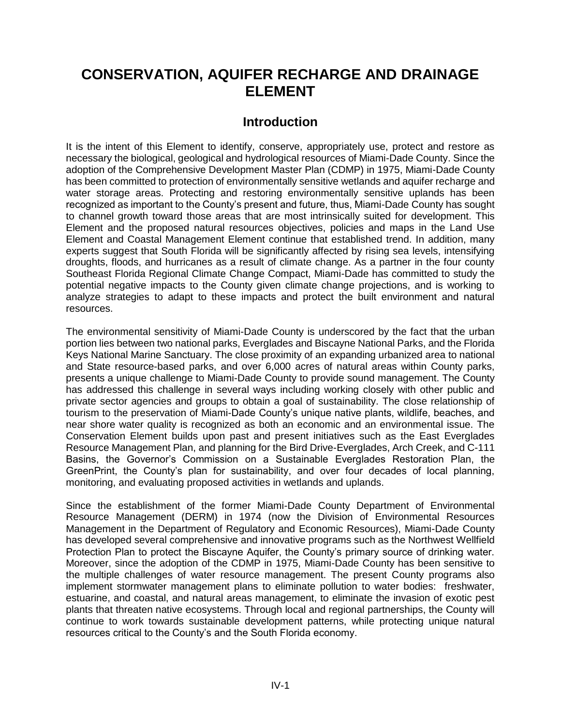# **CONSERVATION, AQUIFER RECHARGE AND DRAINAGE ELEMENT**

# **Introduction**

It is the intent of this Element to identify, conserve, appropriately use, protect and restore as necessary the biological, geological and hydrological resources of Miami-Dade County. Since the adoption of the Comprehensive Development Master Plan (CDMP) in 1975, Miami-Dade County has been committed to protection of environmentally sensitive wetlands and aquifer recharge and water storage areas. Protecting and restoring environmentally sensitive uplands has been recognized as important to the County's present and future, thus, Miami-Dade County has sought to channel growth toward those areas that are most intrinsically suited for development. This Element and the proposed natural resources objectives, policies and maps in the Land Use Element and Coastal Management Element continue that established trend. In addition, many experts suggest that South Florida will be significantly affected by rising sea levels, intensifying droughts, floods, and hurricanes as a result of climate change. As a partner in the four county Southeast Florida Regional Climate Change Compact, Miami-Dade has committed to study the potential negative impacts to the County given climate change projections, and is working to analyze strategies to adapt to these impacts and protect the built environment and natural resources.

The environmental sensitivity of Miami-Dade County is underscored by the fact that the urban portion lies between two national parks, Everglades and Biscayne National Parks, and the Florida Keys National Marine Sanctuary. The close proximity of an expanding urbanized area to national and State resource-based parks, and over 6,000 acres of natural areas within County parks, presents a unique challenge to Miami-Dade County to provide sound management. The County has addressed this challenge in several ways including working closely with other public and private sector agencies and groups to obtain a goal of sustainability. The close relationship of tourism to the preservation of Miami-Dade County's unique native plants, wildlife, beaches, and near shore water quality is recognized as both an economic and an environmental issue. The Conservation Element builds upon past and present initiatives such as the East Everglades Resource Management Plan, and planning for the Bird Drive-Everglades, Arch Creek, and C-111 Basins, the Governor's Commission on a Sustainable Everglades Restoration Plan, the GreenPrint, the County's plan for sustainability, and over four decades of local planning, monitoring, and evaluating proposed activities in wetlands and uplands.

Since the establishment of the former Miami-Dade County Department of Environmental Resource Management (DERM) in 1974 (now the Division of Environmental Resources Management in the Department of Regulatory and Economic Resources), Miami-Dade County has developed several comprehensive and innovative programs such as the Northwest Wellfield Protection Plan to protect the Biscayne Aquifer, the County's primary source of drinking water. Moreover, since the adoption of the CDMP in 1975, Miami-Dade County has been sensitive to the multiple challenges of water resource management. The present County programs also implement stormwater management plans to eliminate pollution to water bodies: freshwater, estuarine, and coastal, and natural areas management, to eliminate the invasion of exotic pest plants that threaten native ecosystems. Through local and regional partnerships, the County will continue to work towards sustainable development patterns, while protecting unique natural resources critical to the County's and the South Florida economy.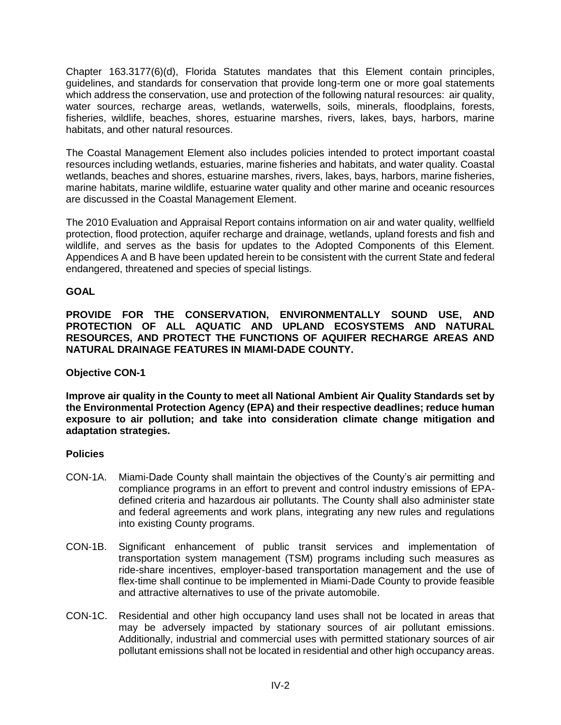Chapter 163.3177(6)(d), Florida Statutes mandates that this Element contain principles, guidelines, and standards for conservation that provide long-term one or more goal statements which address the conservation, use and protection of the following natural resources: air quality, water sources, recharge areas, wetlands, waterwells, soils, minerals, floodplains, forests, fisheries, wildlife, beaches, shores, estuarine marshes, rivers, lakes, bays, harbors, marine habitats, and other natural resources.

The Coastal Management Element also includes policies intended to protect important coastal resources including wetlands, estuaries, marine fisheries and habitats, and water quality. Coastal wetlands, beaches and shores, estuarine marshes, rivers, lakes, bays, harbors, marine fisheries, marine habitats, marine wildlife, estuarine water quality and other marine and oceanic resources are discussed in the Coastal Management Element.

The 2010 Evaluation and Appraisal Report contains information on air and water quality, wellfield protection, flood protection, aquifer recharge and drainage, wetlands, upland forests and fish and wildlife, and serves as the basis for updates to the Adopted Components of this Element. Appendices A and B have been updated herein to be consistent with the current State and federal endangered, threatened and species of special listings.

## **GOAL**

**PROVIDE FOR THE CONSERVATION, ENVIRONMENTALLY SOUND USE, AND PROTECTION OF ALL AQUATIC AND UPLAND ECOSYSTEMS AND NATURAL RESOURCES, AND PROTECT THE FUNCTIONS OF AQUIFER RECHARGE AREAS AND NATURAL DRAINAGE FEATURES IN MIAMI-DADE COUNTY.** 

## **Objective CON-1**

**Improve air quality in the County to meet all National Ambient Air Quality Standards set by the Environmental Protection Agency (EPA) and their respective deadlines; reduce human exposure to air pollution; and take into consideration climate change mitigation and adaptation strategies.**

- CON-1A. Miami-Dade County shall maintain the objectives of the County's air permitting and compliance programs in an effort to prevent and control industry emissions of EPAdefined criteria and hazardous air pollutants. The County shall also administer state and federal agreements and work plans, integrating any new rules and regulations into existing County programs.
- CON-1B. Significant enhancement of public transit services and implementation of transportation system management (TSM) programs including such measures as ride-share incentives, employer-based transportation management and the use of flex-time shall continue to be implemented in Miami-Dade County to provide feasible and attractive alternatives to use of the private automobile.
- CON-1C. Residential and other high occupancy land uses shall not be located in areas that may be adversely impacted by stationary sources of air pollutant emissions. Additionally, industrial and commercial uses with permitted stationary sources of air pollutant emissions shall not be located in residential and other high occupancy areas.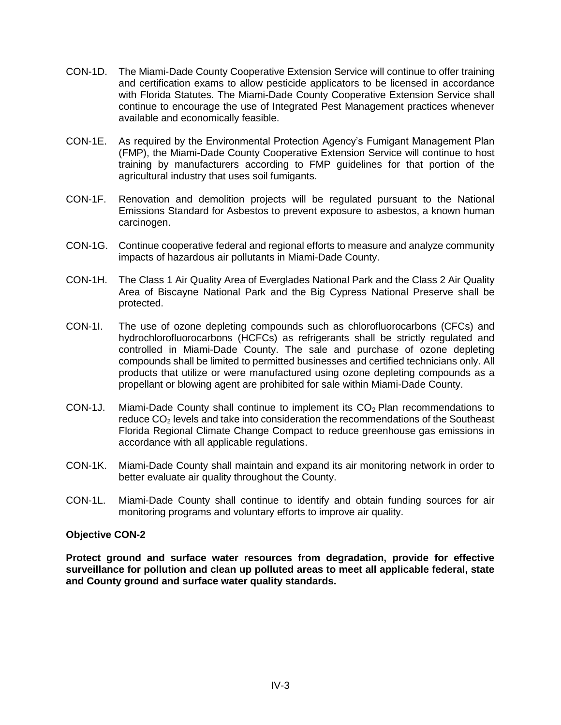- CON-1D. The Miami-Dade County Cooperative Extension Service will continue to offer training and certification exams to allow pesticide applicators to be licensed in accordance with Florida Statutes. The Miami-Dade County Cooperative Extension Service shall continue to encourage the use of Integrated Pest Management practices whenever available and economically feasible.
- CON-1E. As required by the Environmental Protection Agency's Fumigant Management Plan (FMP), the Miami-Dade County Cooperative Extension Service will continue to host training by manufacturers according to FMP guidelines for that portion of the agricultural industry that uses soil fumigants.
- CON-1F. Renovation and demolition projects will be regulated pursuant to the National Emissions Standard for Asbestos to prevent exposure to asbestos, a known human carcinogen.
- CON-1G. Continue cooperative federal and regional efforts to measure and analyze community impacts of hazardous air pollutants in Miami-Dade County.
- CON-1H. The Class 1 Air Quality Area of Everglades National Park and the Class 2 Air Quality Area of Biscayne National Park and the Big Cypress National Preserve shall be protected.
- CON-1I. The use of ozone depleting compounds such as chlorofluorocarbons (CFCs) and hydrochlorofluorocarbons (HCFCs) as refrigerants shall be strictly regulated and controlled in Miami-Dade County. The sale and purchase of ozone depleting compounds shall be limited to permitted businesses and certified technicians only. All products that utilize or were manufactured using ozone depleting compounds as a propellant or blowing agent are prohibited for sale within Miami-Dade County.
- CON-1J. Miami-Dade County shall continue to implement its  $CO<sub>2</sub>$  Plan recommendations to reduce CO<sub>2</sub> levels and take into consideration the recommendations of the Southeast Florida Regional Climate Change Compact to reduce greenhouse gas emissions in accordance with all applicable regulations.
- CON-1K. Miami-Dade County shall maintain and expand its air monitoring network in order to better evaluate air quality throughout the County.
- CON-1L. Miami-Dade County shall continue to identify and obtain funding sources for air monitoring programs and voluntary efforts to improve air quality.

**Protect ground and surface water resources from degradation, provide for effective surveillance for pollution and clean up polluted areas to meet all applicable federal, state and County ground and surface water quality standards.**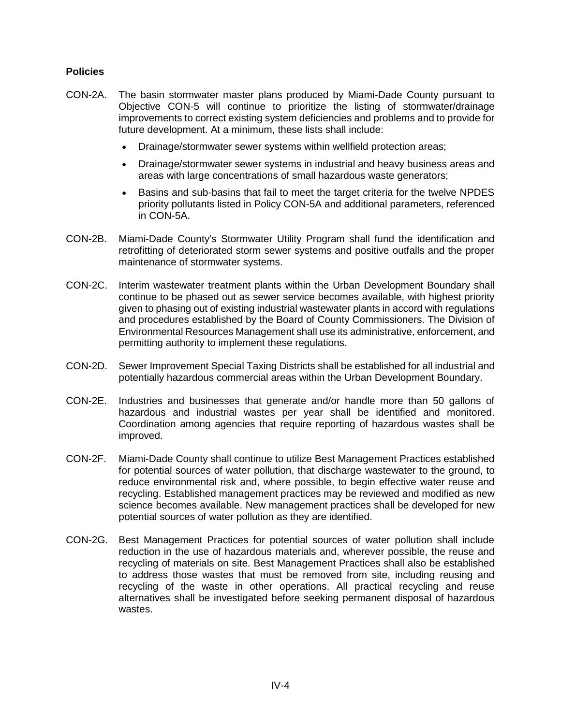- CON-2A. The basin stormwater master plans produced by Miami-Dade County pursuant to Objective CON-5 will continue to prioritize the listing of stormwater/drainage improvements to correct existing system deficiencies and problems and to provide for future development. At a minimum, these lists shall include:
	- Drainage/stormwater sewer systems within wellfield protection areas;
	- Drainage/stormwater sewer systems in industrial and heavy business areas and areas with large concentrations of small hazardous waste generators;
	- Basins and sub-basins that fail to meet the target criteria for the twelve NPDES priority pollutants listed in Policy CON-5A and additional parameters, referenced in CON-5A.
- CON-2B. Miami-Dade County's Stormwater Utility Program shall fund the identification and retrofitting of deteriorated storm sewer systems and positive outfalls and the proper maintenance of stormwater systems.
- CON-2C. Interim wastewater treatment plants within the Urban Development Boundary shall continue to be phased out as sewer service becomes available, with highest priority given to phasing out of existing industrial wastewater plants in accord with regulations and procedures established by the Board of County Commissioners. The Division of Environmental Resources Management shall use its administrative, enforcement, and permitting authority to implement these regulations.
- CON-2D. Sewer Improvement Special Taxing Districts shall be established for all industrial and potentially hazardous commercial areas within the Urban Development Boundary.
- CON-2E. Industries and businesses that generate and/or handle more than 50 gallons of hazardous and industrial wastes per year shall be identified and monitored. Coordination among agencies that require reporting of hazardous wastes shall be improved.
- CON-2F. Miami-Dade County shall continue to utilize Best Management Practices established for potential sources of water pollution, that discharge wastewater to the ground, to reduce environmental risk and, where possible, to begin effective water reuse and recycling. Established management practices may be reviewed and modified as new science becomes available. New management practices shall be developed for new potential sources of water pollution as they are identified.
- CON-2G. Best Management Practices for potential sources of water pollution shall include reduction in the use of hazardous materials and, wherever possible, the reuse and recycling of materials on site. Best Management Practices shall also be established to address those wastes that must be removed from site, including reusing and recycling of the waste in other operations. All practical recycling and reuse alternatives shall be investigated before seeking permanent disposal of hazardous wastes.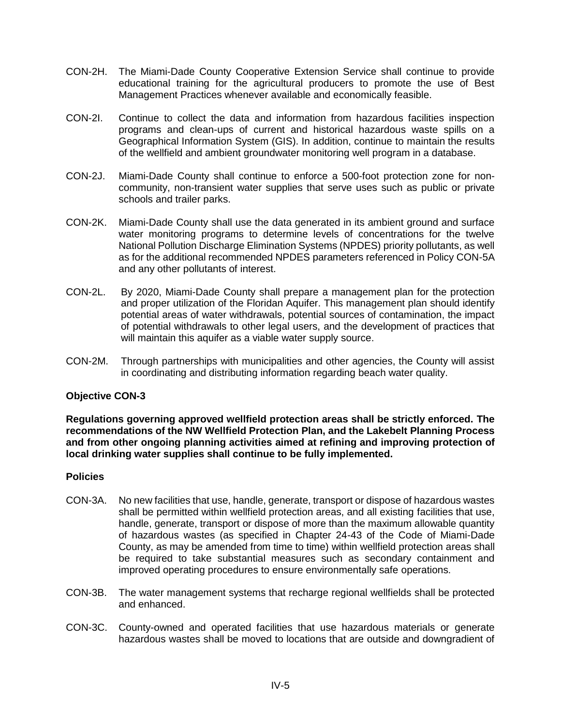- CON-2H. The Miami-Dade County Cooperative Extension Service shall continue to provide educational training for the agricultural producers to promote the use of Best Management Practices whenever available and economically feasible.
- CON-2I. Continue to collect the data and information from hazardous facilities inspection programs and clean-ups of current and historical hazardous waste spills on a Geographical Information System (GIS). In addition, continue to maintain the results of the wellfield and ambient groundwater monitoring well program in a database.
- CON-2J. Miami-Dade County shall continue to enforce a 500-foot protection zone for noncommunity, non-transient water supplies that serve uses such as public or private schools and trailer parks.
- CON-2K. Miami-Dade County shall use the data generated in its ambient ground and surface water monitoring programs to determine levels of concentrations for the twelve National Pollution Discharge Elimination Systems (NPDES) priority pollutants, as well as for the additional recommended NPDES parameters referenced in Policy CON-5A and any other pollutants of interest.
- CON-2L. By 2020, Miami-Dade County shall prepare a management plan for the protection and proper utilization of the Floridan Aquifer. This management plan should identify potential areas of water withdrawals, potential sources of contamination, the impact of potential withdrawals to other legal users, and the development of practices that will maintain this aquifer as a viable water supply source.
- CON-2M. Through partnerships with municipalities and other agencies, the County will assist in coordinating and distributing information regarding beach water quality.

**Regulations governing approved wellfield protection areas shall be strictly enforced. The recommendations of the NW Wellfield Protection Plan, and the Lakebelt Planning Process and from other ongoing planning activities aimed at refining and improving protection of local drinking water supplies shall continue to be fully implemented.**

- CON-3A. No new facilities that use, handle, generate, transport or dispose of hazardous wastes shall be permitted within wellfield protection areas, and all existing facilities that use, handle, generate, transport or dispose of more than the maximum allowable quantity of hazardous wastes (as specified in Chapter 24-43 of the Code of Miami-Dade County, as may be amended from time to time) within wellfield protection areas shall be required to take substantial measures such as secondary containment and improved operating procedures to ensure environmentally safe operations.
- CON-3B. The water management systems that recharge regional wellfields shall be protected and enhanced.
- CON-3C. County-owned and operated facilities that use hazardous materials or generate hazardous wastes shall be moved to locations that are outside and downgradient of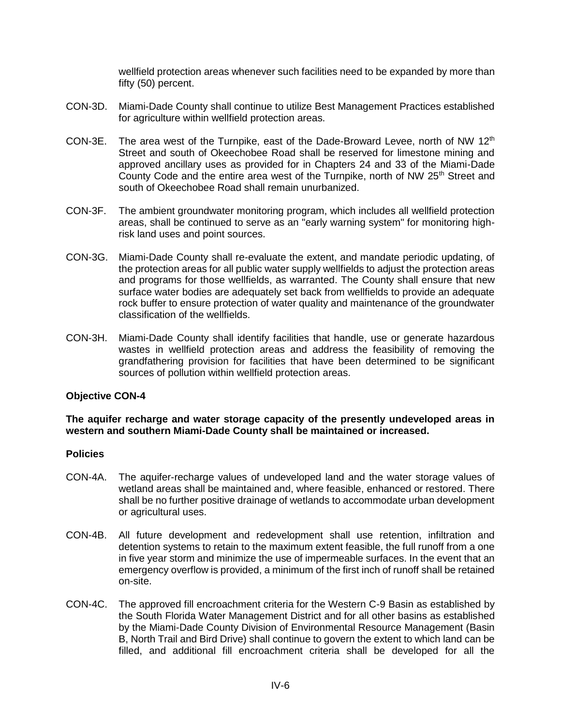wellfield protection areas whenever such facilities need to be expanded by more than fifty (50) percent.

- CON-3D. Miami-Dade County shall continue to utilize Best Management Practices established for agriculture within wellfield protection areas.
- CON-3E. The area west of the Turnpike, east of the Dade-Broward Levee, north of NW 12<sup>th</sup> Street and south of Okeechobee Road shall be reserved for limestone mining and approved ancillary uses as provided for in Chapters 24 and 33 of the Miami-Dade County Code and the entire area west of the Turnpike, north of NW 25<sup>th</sup> Street and south of Okeechobee Road shall remain unurbanized.
- CON-3F. The ambient groundwater monitoring program, which includes all wellfield protection areas, shall be continued to serve as an "early warning system" for monitoring highrisk land uses and point sources.
- CON-3G. Miami-Dade County shall re-evaluate the extent, and mandate periodic updating, of the protection areas for all public water supply wellfields to adjust the protection areas and programs for those wellfields, as warranted. The County shall ensure that new surface water bodies are adequately set back from wellfields to provide an adequate rock buffer to ensure protection of water quality and maintenance of the groundwater classification of the wellfields.
- CON-3H. Miami-Dade County shall identify facilities that handle, use or generate hazardous wastes in wellfield protection areas and address the feasibility of removing the grandfathering provision for facilities that have been determined to be significant sources of pollution within wellfield protection areas.

#### **Objective CON-4**

### **The aquifer recharge and water storage capacity of the presently undeveloped areas in western and southern Miami-Dade County shall be maintained or increased.**

- CON-4A. The aquifer-recharge values of undeveloped land and the water storage values of wetland areas shall be maintained and, where feasible, enhanced or restored. There shall be no further positive drainage of wetlands to accommodate urban development or agricultural uses.
- CON-4B. All future development and redevelopment shall use retention, infiltration and detention systems to retain to the maximum extent feasible, the full runoff from a one in five year storm and minimize the use of impermeable surfaces. In the event that an emergency overflow is provided, a minimum of the first inch of runoff shall be retained on-site.
- CON-4C. The approved fill encroachment criteria for the Western C-9 Basin as established by the South Florida Water Management District and for all other basins as established by the Miami-Dade County Division of Environmental Resource Management (Basin B, North Trail and Bird Drive) shall continue to govern the extent to which land can be filled, and additional fill encroachment criteria shall be developed for all the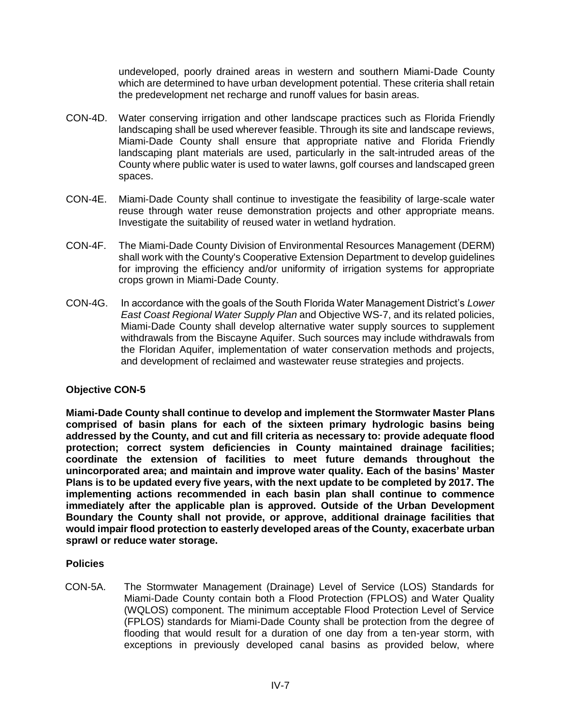undeveloped, poorly drained areas in western and southern Miami-Dade County which are determined to have urban development potential. These criteria shall retain the predevelopment net recharge and runoff values for basin areas.

- CON-4D. Water conserving irrigation and other landscape practices such as Florida Friendly landscaping shall be used wherever feasible. Through its site and landscape reviews, Miami-Dade County shall ensure that appropriate native and Florida Friendly landscaping plant materials are used, particularly in the salt-intruded areas of the County where public water is used to water lawns, golf courses and landscaped green spaces.
- CON-4E. Miami-Dade County shall continue to investigate the feasibility of large-scale water reuse through water reuse demonstration projects and other appropriate means. Investigate the suitability of reused water in wetland hydration.
- CON-4F. The Miami-Dade County Division of Environmental Resources Management (DERM) shall work with the County's Cooperative Extension Department to develop guidelines for improving the efficiency and/or uniformity of irrigation systems for appropriate crops grown in Miami-Dade County.
- CON-4G. In accordance with the goals of the South Florida Water Management District's *Lower East Coast Regional Water Supply Plan* and Objective WS-7, and its related policies, Miami-Dade County shall develop alternative water supply sources to supplement withdrawals from the Biscayne Aquifer. Such sources may include withdrawals from the Floridan Aquifer, implementation of water conservation methods and projects, and development of reclaimed and wastewater reuse strategies and projects.

## **Objective CON-5**

**Miami-Dade County shall continue to develop and implement the Stormwater Master Plans comprised of basin plans for each of the sixteen primary hydrologic basins being addressed by the County, and cut and fill criteria as necessary to: provide adequate flood protection; correct system deficiencies in County maintained drainage facilities; coordinate the extension of facilities to meet future demands throughout the unincorporated area; and maintain and improve water quality. Each of the basins' Master Plans is to be updated every five years, with the next update to be completed by 2017. The implementing actions recommended in each basin plan shall continue to commence immediately after the applicable plan is approved. Outside of the Urban Development Boundary the County shall not provide, or approve, additional drainage facilities that would impair flood protection to easterly developed areas of the County, exacerbate urban sprawl or reduce water storage.**

#### **Policies**

CON-5A. The Stormwater Management (Drainage) Level of Service (LOS) Standards for Miami-Dade County contain both a Flood Protection (FPLOS) and Water Quality (WQLOS) component. The minimum acceptable Flood Protection Level of Service (FPLOS) standards for Miami-Dade County shall be protection from the degree of flooding that would result for a duration of one day from a ten-year storm, with exceptions in previously developed canal basins as provided below, where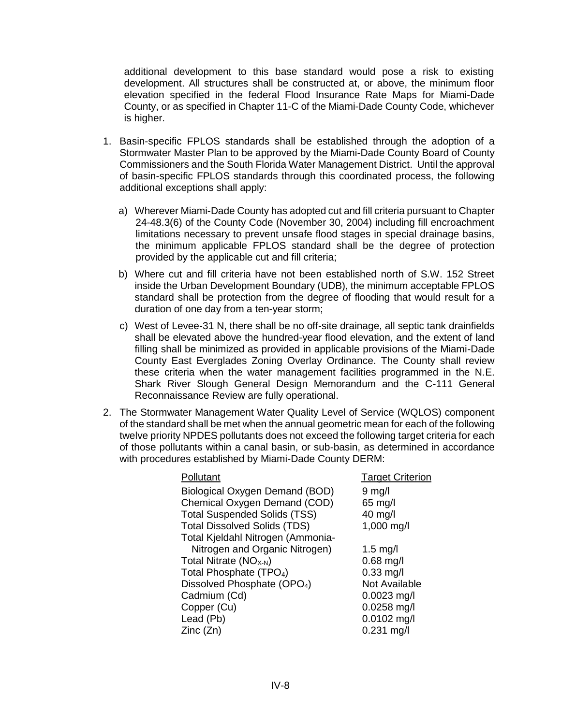additional development to this base standard would pose a risk to existing development. All structures shall be constructed at, or above, the minimum floor elevation specified in the federal Flood Insurance Rate Maps for Miami-Dade County, or as specified in Chapter 11-C of the Miami-Dade County Code, whichever is higher.

- 1. Basin-specific FPLOS standards shall be established through the adoption of a Stormwater Master Plan to be approved by the Miami-Dade County Board of County Commissioners and the South Florida Water Management District. Until the approval of basin-specific FPLOS standards through this coordinated process, the following additional exceptions shall apply:
	- a) Wherever Miami-Dade County has adopted cut and fill criteria pursuant to Chapter 24-48.3(6) of the County Code (November 30, 2004) including fill encroachment limitations necessary to prevent unsafe flood stages in special drainage basins, the minimum applicable FPLOS standard shall be the degree of protection provided by the applicable cut and fill criteria;
	- b) Where cut and fill criteria have not been established north of S.W. 152 Street inside the Urban Development Boundary (UDB), the minimum acceptable FPLOS standard shall be protection from the degree of flooding that would result for a duration of one day from a ten-year storm;
	- c) West of Levee-31 N, there shall be no off-site drainage, all septic tank drainfields shall be elevated above the hundred-year flood elevation, and the extent of land filling shall be minimized as provided in applicable provisions of the Miami-Dade County East Everglades Zoning Overlay Ordinance. The County shall review these criteria when the water management facilities programmed in the N.E. Shark River Slough General Design Memorandum and the C-111 General Reconnaissance Review are fully operational.
- 2. The Stormwater Management Water Quality Level of Service (WQLOS) component of the standard shall be met when the annual geometric mean for each of the following twelve priority NPDES pollutants does not exceed the following target criteria for each of those pollutants within a canal basin, or sub-basin, as determined in accordance with procedures established by Miami-Dade County DERM:

| Pollutant                               | <b>Target Criterion</b> |
|-----------------------------------------|-------------------------|
| Biological Oxygen Demand (BOD)          | $9$ mg/l                |
| Chemical Oxygen Demand (COD)            | 65 mg/l                 |
| <b>Total Suspended Solids (TSS)</b>     | 40 mg/l                 |
| <b>Total Dissolved Solids (TDS)</b>     | 1,000 mg/l              |
| Total Kjeldahl Nitrogen (Ammonia-       |                         |
| Nitrogen and Organic Nitrogen)          | $1.5 \text{ mg/l}$      |
| Total Nitrate $(NOX-N)$                 | $0.68$ mg/l             |
| Total Phosphate (TPO <sub>4</sub> )     | $0.33$ mg/l             |
| Dissolved Phosphate (OPO <sub>4</sub> ) | Not Available           |
| Cadmium (Cd)                            | $0.0023$ mg/l           |
| Copper (Cu)                             | 0.0258 mg/l             |
| Lead (Pb)                               | $0.0102$ mg/l           |
| Zinc(Zn)                                | $0.231$ mg/l            |
|                                         |                         |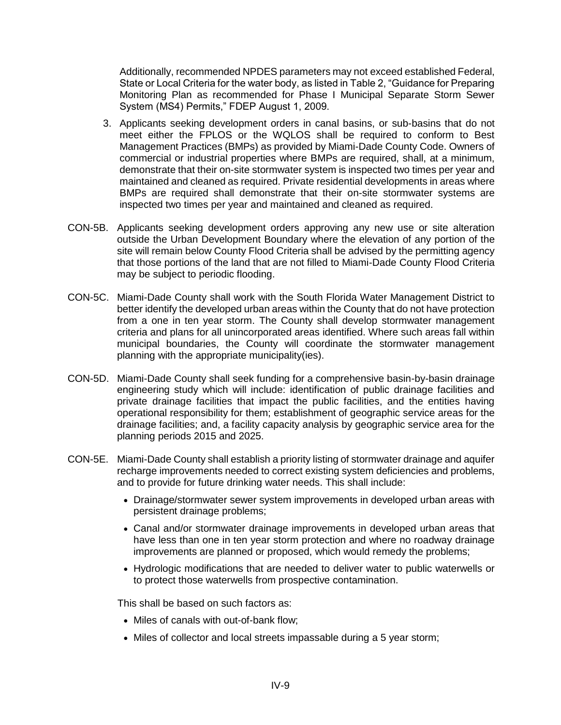Additionally, recommended NPDES parameters may not exceed established Federal, State or Local Criteria for the water body, as listed in Table 2, "Guidance for Preparing Monitoring Plan as recommended for Phase I Municipal Separate Storm Sewer System (MS4) Permits," FDEP August 1, 2009.

- 3. Applicants seeking development orders in canal basins, or sub-basins that do not meet either the FPLOS or the WQLOS shall be required to conform to Best Management Practices (BMPs) as provided by Miami-Dade County Code. Owners of commercial or industrial properties where BMPs are required, shall, at a minimum, demonstrate that their on-site stormwater system is inspected two times per year and maintained and cleaned as required. Private residential developments in areas where BMPs are required shall demonstrate that their on-site stormwater systems are inspected two times per year and maintained and cleaned as required.
- CON-5B. Applicants seeking development orders approving any new use or site alteration outside the Urban Development Boundary where the elevation of any portion of the site will remain below County Flood Criteria shall be advised by the permitting agency that those portions of the land that are not filled to Miami-Dade County Flood Criteria may be subject to periodic flooding.
- CON-5C. Miami-Dade County shall work with the South Florida Water Management District to better identify the developed urban areas within the County that do not have protection from a one in ten year storm. The County shall develop stormwater management criteria and plans for all unincorporated areas identified. Where such areas fall within municipal boundaries, the County will coordinate the stormwater management planning with the appropriate municipality(ies).
- CON-5D. Miami-Dade County shall seek funding for a comprehensive basin-by-basin drainage engineering study which will include: identification of public drainage facilities and private drainage facilities that impact the public facilities, and the entities having operational responsibility for them; establishment of geographic service areas for the drainage facilities; and, a facility capacity analysis by geographic service area for the planning periods 2015 and 2025.
- CON-5E. Miami-Dade County shall establish a priority listing of stormwater drainage and aquifer recharge improvements needed to correct existing system deficiencies and problems, and to provide for future drinking water needs. This shall include:
	- Drainage/stormwater sewer system improvements in developed urban areas with persistent drainage problems;
	- Canal and/or stormwater drainage improvements in developed urban areas that have less than one in ten year storm protection and where no roadway drainage improvements are planned or proposed, which would remedy the problems;
	- Hydrologic modifications that are needed to deliver water to public waterwells or to protect those waterwells from prospective contamination.

This shall be based on such factors as:

- Miles of canals with out-of-bank flow;
- Miles of collector and local streets impassable during a 5 year storm;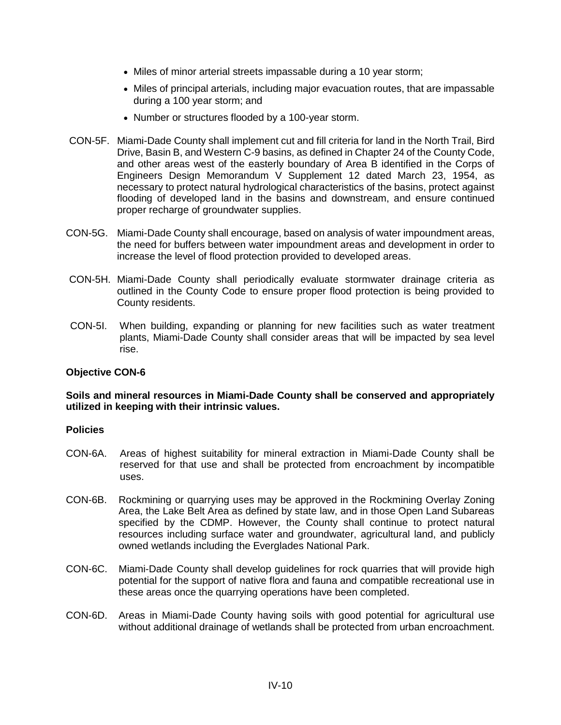- Miles of minor arterial streets impassable during a 10 year storm;
- Miles of principal arterials, including major evacuation routes, that are impassable during a 100 year storm; and
- Number or structures flooded by a 100-year storm.
- CON-5F. Miami-Dade County shall implement cut and fill criteria for land in the North Trail, Bird Drive, Basin B, and Western C-9 basins, as defined in Chapter 24 of the County Code, and other areas west of the easterly boundary of Area B identified in the Corps of Engineers Design Memorandum V Supplement 12 dated March 23, 1954, as necessary to protect natural hydrological characteristics of the basins, protect against flooding of developed land in the basins and downstream, and ensure continued proper recharge of groundwater supplies.
- CON-5G. Miami-Dade County shall encourage, based on analysis of water impoundment areas, the need for buffers between water impoundment areas and development in order to increase the level of flood protection provided to developed areas.
- CON-5H. Miami-Dade County shall periodically evaluate stormwater drainage criteria as outlined in the County Code to ensure proper flood protection is being provided to County residents.
- CON-5I. When building, expanding or planning for new facilities such as water treatment plants, Miami-Dade County shall consider areas that will be impacted by sea level rise.

### **Soils and mineral resources in Miami-Dade County shall be conserved and appropriately utilized in keeping with their intrinsic values.**

- CON-6A. Areas of highest suitability for mineral extraction in Miami-Dade County shall be reserved for that use and shall be protected from encroachment by incompatible uses.
- CON-6B. Rockmining or quarrying uses may be approved in the Rockmining Overlay Zoning Area, the Lake Belt Area as defined by state law, and in those Open Land Subareas specified by the CDMP. However, the County shall continue to protect natural resources including surface water and groundwater, agricultural land, and publicly owned wetlands including the Everglades National Park.
- CON-6C. Miami-Dade County shall develop guidelines for rock quarries that will provide high potential for the support of native flora and fauna and compatible recreational use in these areas once the quarrying operations have been completed.
- CON-6D. Areas in Miami-Dade County having soils with good potential for agricultural use without additional drainage of wetlands shall be protected from urban encroachment.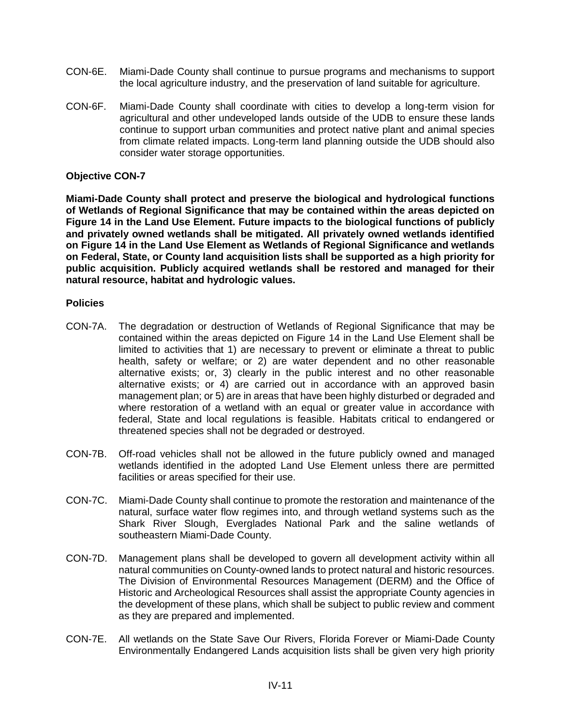- CON-6E. Miami-Dade County shall continue to pursue programs and mechanisms to support the local agriculture industry, and the preservation of land suitable for agriculture.
- CON-6F. Miami-Dade County shall coordinate with cities to develop a long-term vision for agricultural and other undeveloped lands outside of the UDB to ensure these lands continue to support urban communities and protect native plant and animal species from climate related impacts. Long-term land planning outside the UDB should also consider water storage opportunities.

**Miami-Dade County shall protect and preserve the biological and hydrological functions of Wetlands of Regional Significance that may be contained within the areas depicted on Figure 14 in the Land Use Element. Future impacts to the biological functions of publicly and privately owned wetlands shall be mitigated. All privately owned wetlands identified on Figure 14 in the Land Use Element as Wetlands of Regional Significance and wetlands on Federal, State, or County land acquisition lists shall be supported as a high priority for public acquisition. Publicly acquired wetlands shall be restored and managed for their natural resource, habitat and hydrologic values.**

- CON-7A. The degradation or destruction of Wetlands of Regional Significance that may be contained within the areas depicted on Figure 14 in the Land Use Element shall be limited to activities that 1) are necessary to prevent or eliminate a threat to public health, safety or welfare; or 2) are water dependent and no other reasonable alternative exists; or, 3) clearly in the public interest and no other reasonable alternative exists; or 4) are carried out in accordance with an approved basin management plan; or 5) are in areas that have been highly disturbed or degraded and where restoration of a wetland with an equal or greater value in accordance with federal, State and local regulations is feasible. Habitats critical to endangered or threatened species shall not be degraded or destroyed.
- CON-7B. Off-road vehicles shall not be allowed in the future publicly owned and managed wetlands identified in the adopted Land Use Element unless there are permitted facilities or areas specified for their use.
- CON-7C. Miami-Dade County shall continue to promote the restoration and maintenance of the natural, surface water flow regimes into, and through wetland systems such as the Shark River Slough, Everglades National Park and the saline wetlands of southeastern Miami-Dade County.
- CON-7D. Management plans shall be developed to govern all development activity within all natural communities on County-owned lands to protect natural and historic resources. The Division of Environmental Resources Management (DERM) and the Office of Historic and Archeological Resources shall assist the appropriate County agencies in the development of these plans, which shall be subject to public review and comment as they are prepared and implemented.
- CON-7E. All wetlands on the State Save Our Rivers, Florida Forever or Miami-Dade County Environmentally Endangered Lands acquisition lists shall be given very high priority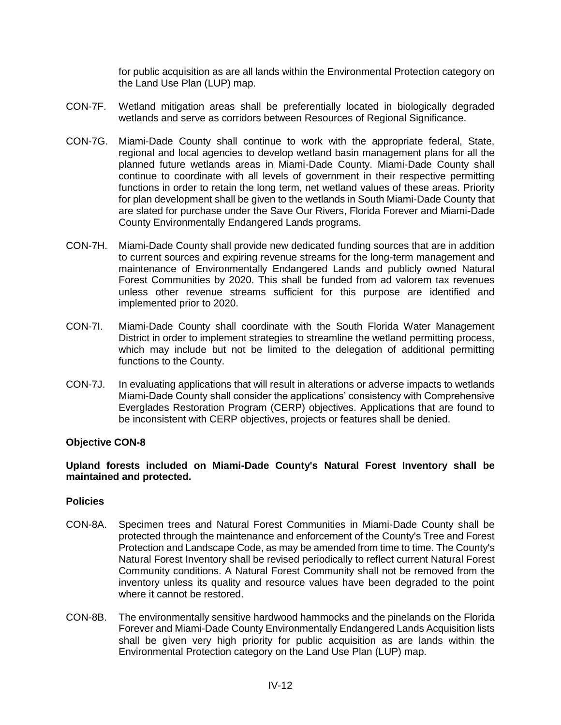for public acquisition as are all lands within the Environmental Protection category on the Land Use Plan (LUP) map.

- CON-7F. Wetland mitigation areas shall be preferentially located in biologically degraded wetlands and serve as corridors between Resources of Regional Significance.
- CON-7G. Miami-Dade County shall continue to work with the appropriate federal, State, regional and local agencies to develop wetland basin management plans for all the planned future wetlands areas in Miami-Dade County. Miami-Dade County shall continue to coordinate with all levels of government in their respective permitting functions in order to retain the long term, net wetland values of these areas. Priority for plan development shall be given to the wetlands in South Miami-Dade County that are slated for purchase under the Save Our Rivers, Florida Forever and Miami-Dade County Environmentally Endangered Lands programs.
- CON-7H. Miami-Dade County shall provide new dedicated funding sources that are in addition to current sources and expiring revenue streams for the long-term management and maintenance of Environmentally Endangered Lands and publicly owned Natural Forest Communities by 2020. This shall be funded from ad valorem tax revenues unless other revenue streams sufficient for this purpose are identified and implemented prior to 2020.
- CON-7I. Miami-Dade County shall coordinate with the South Florida Water Management District in order to implement strategies to streamline the wetland permitting process, which may include but not be limited to the delegation of additional permitting functions to the County.
- CON-7J. In evaluating applications that will result in alterations or adverse impacts to wetlands Miami-Dade County shall consider the applications' consistency with Comprehensive Everglades Restoration Program (CERP) objectives. Applications that are found to be inconsistent with CERP objectives, projects or features shall be denied.

#### **Objective CON-8**

### **Upland forests included on Miami-Dade County's Natural Forest Inventory shall be maintained and protected.**

- CON-8A. Specimen trees and Natural Forest Communities in Miami-Dade County shall be protected through the maintenance and enforcement of the County's Tree and Forest Protection and Landscape Code, as may be amended from time to time. The County's Natural Forest Inventory shall be revised periodically to reflect current Natural Forest Community conditions. A Natural Forest Community shall not be removed from the inventory unless its quality and resource values have been degraded to the point where it cannot be restored.
- CON-8B. The environmentally sensitive hardwood hammocks and the pinelands on the Florida Forever and Miami-Dade County Environmentally Endangered Lands Acquisition lists shall be given very high priority for public acquisition as are lands within the Environmental Protection category on the Land Use Plan (LUP) map.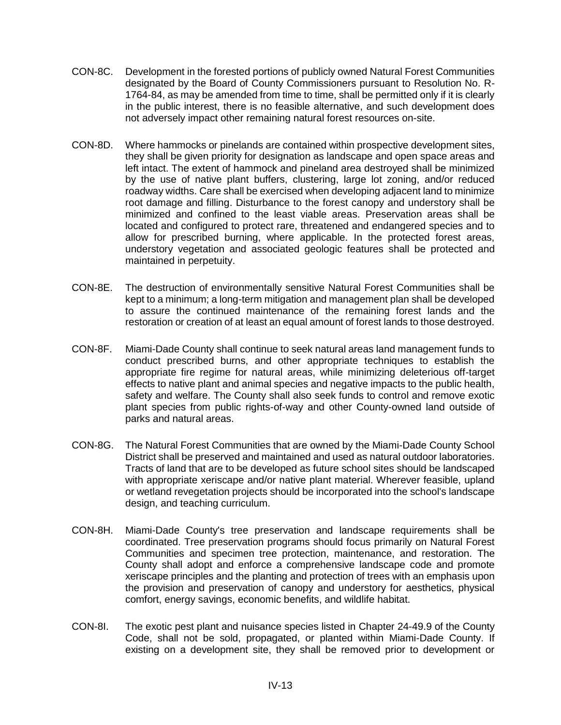- CON-8C. Development in the forested portions of publicly owned Natural Forest Communities designated by the Board of County Commissioners pursuant to Resolution No. R-1764-84, as may be amended from time to time, shall be permitted only if it is clearly in the public interest, there is no feasible alternative, and such development does not adversely impact other remaining natural forest resources on-site.
- CON-8D. Where hammocks or pinelands are contained within prospective development sites, they shall be given priority for designation as landscape and open space areas and left intact. The extent of hammock and pineland area destroyed shall be minimized by the use of native plant buffers, clustering, large lot zoning, and/or reduced roadway widths. Care shall be exercised when developing adjacent land to minimize root damage and filling. Disturbance to the forest canopy and understory shall be minimized and confined to the least viable areas. Preservation areas shall be located and configured to protect rare, threatened and endangered species and to allow for prescribed burning, where applicable. In the protected forest areas, understory vegetation and associated geologic features shall be protected and maintained in perpetuity.
- CON-8E. The destruction of environmentally sensitive Natural Forest Communities shall be kept to a minimum; a long-term mitigation and management plan shall be developed to assure the continued maintenance of the remaining forest lands and the restoration or creation of at least an equal amount of forest lands to those destroyed.
- CON-8F. Miami-Dade County shall continue to seek natural areas land management funds to conduct prescribed burns, and other appropriate techniques to establish the appropriate fire regime for natural areas, while minimizing deleterious off-target effects to native plant and animal species and negative impacts to the public health, safety and welfare. The County shall also seek funds to control and remove exotic plant species from public rights-of-way and other County-owned land outside of parks and natural areas.
- CON-8G. The Natural Forest Communities that are owned by the Miami-Dade County School District shall be preserved and maintained and used as natural outdoor laboratories. Tracts of land that are to be developed as future school sites should be landscaped with appropriate xeriscape and/or native plant material. Wherever feasible, upland or wetland revegetation projects should be incorporated into the school's landscape design, and teaching curriculum.
- CON-8H. Miami-Dade County's tree preservation and landscape requirements shall be coordinated. Tree preservation programs should focus primarily on Natural Forest Communities and specimen tree protection, maintenance, and restoration. The County shall adopt and enforce a comprehensive landscape code and promote xeriscape principles and the planting and protection of trees with an emphasis upon the provision and preservation of canopy and understory for aesthetics, physical comfort, energy savings, economic benefits, and wildlife habitat.
- CON-8I. The exotic pest plant and nuisance species listed in Chapter 24-49.9 of the County Code, shall not be sold, propagated, or planted within Miami-Dade County. If existing on a development site, they shall be removed prior to development or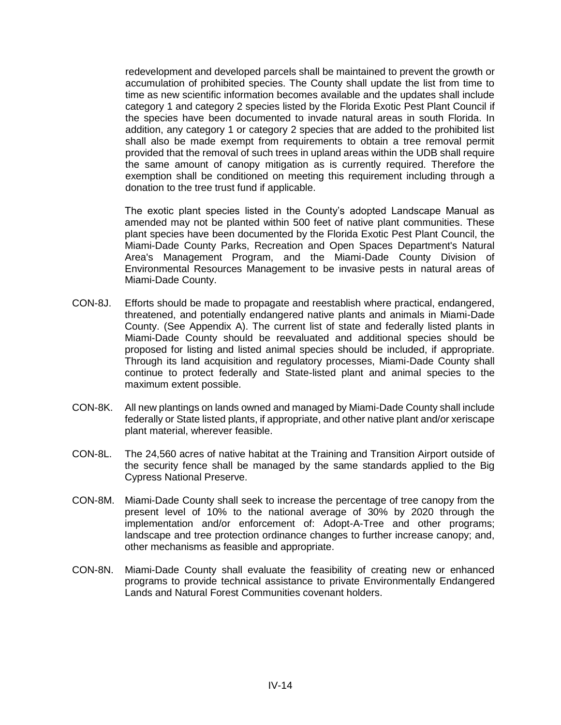redevelopment and developed parcels shall be maintained to prevent the growth or accumulation of prohibited species. The County shall update the list from time to time as new scientific information becomes available and the updates shall include category 1 and category 2 species listed by the Florida Exotic Pest Plant Council if the species have been documented to invade natural areas in south Florida. In addition, any category 1 or category 2 species that are added to the prohibited list shall also be made exempt from requirements to obtain a tree removal permit provided that the removal of such trees in upland areas within the UDB shall require the same amount of canopy mitigation as is currently required. Therefore the exemption shall be conditioned on meeting this requirement including through a donation to the tree trust fund if applicable.

The exotic plant species listed in the County's adopted Landscape Manual as amended may not be planted within 500 feet of native plant communities. These plant species have been documented by the Florida Exotic Pest Plant Council, the Miami-Dade County Parks, Recreation and Open Spaces Department's Natural Area's Management Program, and the Miami-Dade County Division of Environmental Resources Management to be invasive pests in natural areas of Miami-Dade County.

- CON-8J. Efforts should be made to propagate and reestablish where practical, endangered, threatened, and potentially endangered native plants and animals in Miami-Dade County. (See Appendix A). The current list of state and federally listed plants in Miami-Dade County should be reevaluated and additional species should be proposed for listing and listed animal species should be included, if appropriate. Through its land acquisition and regulatory processes, Miami-Dade County shall continue to protect federally and State-listed plant and animal species to the maximum extent possible.
- CON-8K. All new plantings on lands owned and managed by Miami-Dade County shall include federally or State listed plants, if appropriate, and other native plant and/or xeriscape plant material, wherever feasible.
- CON-8L. The 24,560 acres of native habitat at the Training and Transition Airport outside of the security fence shall be managed by the same standards applied to the Big Cypress National Preserve.
- CON-8M. Miami-Dade County shall seek to increase the percentage of tree canopy from the present level of 10% to the national average of 30% by 2020 through the implementation and/or enforcement of: Adopt-A-Tree and other programs; landscape and tree protection ordinance changes to further increase canopy; and, other mechanisms as feasible and appropriate.
- CON-8N. Miami-Dade County shall evaluate the feasibility of creating new or enhanced programs to provide technical assistance to private Environmentally Endangered Lands and Natural Forest Communities covenant holders.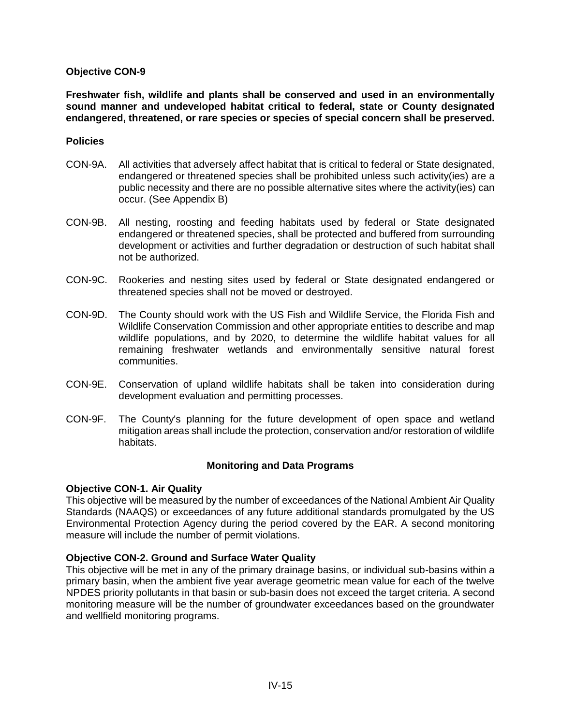**Freshwater fish, wildlife and plants shall be conserved and used in an environmentally sound manner and undeveloped habitat critical to federal, state or County designated endangered, threatened, or rare species or species of special concern shall be preserved.**

#### **Policies**

- CON-9A. All activities that adversely affect habitat that is critical to federal or State designated, endangered or threatened species shall be prohibited unless such activity(ies) are a public necessity and there are no possible alternative sites where the activity(ies) can occur. (See Appendix B)
- CON-9B. All nesting, roosting and feeding habitats used by federal or State designated endangered or threatened species, shall be protected and buffered from surrounding development or activities and further degradation or destruction of such habitat shall not be authorized.
- CON-9C. Rookeries and nesting sites used by federal or State designated endangered or threatened species shall not be moved or destroyed.
- CON-9D. The County should work with the US Fish and Wildlife Service, the Florida Fish and Wildlife Conservation Commission and other appropriate entities to describe and map wildlife populations, and by 2020, to determine the wildlife habitat values for all remaining freshwater wetlands and environmentally sensitive natural forest communities.
- CON-9E. Conservation of upland wildlife habitats shall be taken into consideration during development evaluation and permitting processes.
- CON-9F. The County's planning for the future development of open space and wetland mitigation areas shall include the protection, conservation and/or restoration of wildlife habitats.

## **Monitoring and Data Programs**

#### **Objective CON-1. Air Quality**

This objective will be measured by the number of exceedances of the National Ambient Air Quality Standards (NAAQS) or exceedances of any future additional standards promulgated by the US Environmental Protection Agency during the period covered by the EAR. A second monitoring measure will include the number of permit violations.

## **Objective CON-2. Ground and Surface Water Quality**

This objective will be met in any of the primary drainage basins, or individual sub-basins within a primary basin, when the ambient five year average geometric mean value for each of the twelve NPDES priority pollutants in that basin or sub-basin does not exceed the target criteria. A second monitoring measure will be the number of groundwater exceedances based on the groundwater and wellfield monitoring programs.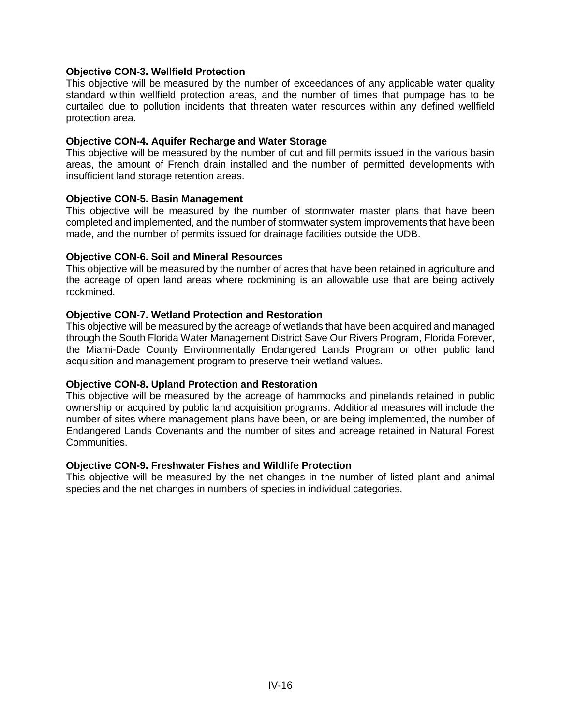### **Objective CON-3. Wellfield Protection**

This objective will be measured by the number of exceedances of any applicable water quality standard within wellfield protection areas, and the number of times that pumpage has to be curtailed due to pollution incidents that threaten water resources within any defined wellfield protection area.

#### **Objective CON-4. Aquifer Recharge and Water Storage**

This objective will be measured by the number of cut and fill permits issued in the various basin areas, the amount of French drain installed and the number of permitted developments with insufficient land storage retention areas.

### **Objective CON-5. Basin Management**

This objective will be measured by the number of stormwater master plans that have been completed and implemented, and the number of stormwater system improvements that have been made, and the number of permits issued for drainage facilities outside the UDB.

### **Objective CON-6. Soil and Mineral Resources**

This objective will be measured by the number of acres that have been retained in agriculture and the acreage of open land areas where rockmining is an allowable use that are being actively rockmined.

### **Objective CON-7. Wetland Protection and Restoration**

This objective will be measured by the acreage of wetlands that have been acquired and managed through the South Florida Water Management District Save Our Rivers Program, Florida Forever, the Miami-Dade County Environmentally Endangered Lands Program or other public land acquisition and management program to preserve their wetland values.

## **Objective CON-8. Upland Protection and Restoration**

This objective will be measured by the acreage of hammocks and pinelands retained in public ownership or acquired by public land acquisition programs. Additional measures will include the number of sites where management plans have been, or are being implemented, the number of Endangered Lands Covenants and the number of sites and acreage retained in Natural Forest Communities.

#### **Objective CON-9. Freshwater Fishes and Wildlife Protection**

This objective will be measured by the net changes in the number of listed plant and animal species and the net changes in numbers of species in individual categories.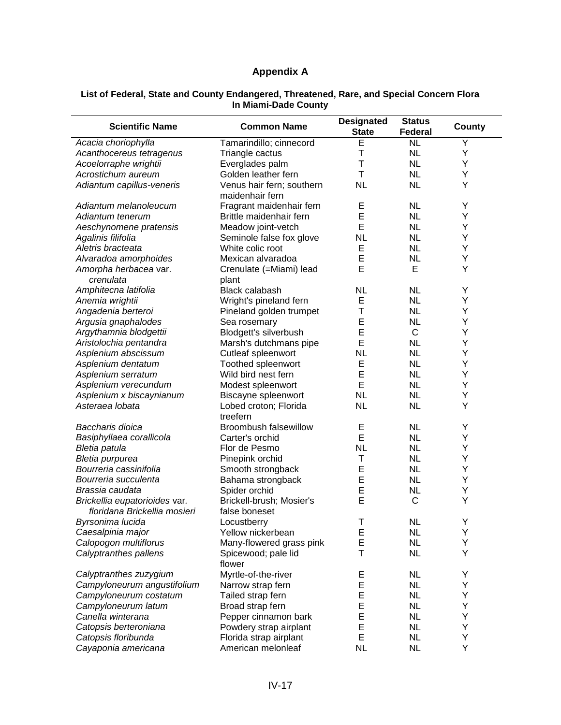## **Appendix A**

#### **List of Federal, State and County Endangered, Threatened, Rare, and Special Concern Flora In Miami-Dade County**

| <b>Scientific Name</b>                                        | <b>Common Name</b>                           | <b>Designated</b><br><b>State</b> | <b>Status</b><br>Federal | County |
|---------------------------------------------------------------|----------------------------------------------|-----------------------------------|--------------------------|--------|
| Acacia choriophylla                                           | Tamarindillo; cinnecord                      | E                                 | <b>NL</b>                | Y      |
| Acanthocereus tetragenus                                      | Triangle cactus                              | T                                 | <b>NL</b>                | Υ      |
| Acoelorraphe wrightii                                         | Everglades palm                              | T                                 | <b>NL</b>                | Υ      |
| Acrostichum aureum                                            | Golden leather fern                          | Τ                                 | <b>NL</b>                | Υ      |
| Adiantum capillus-veneris                                     | Venus hair fern; southern<br>maidenhair fern | <b>NL</b>                         | <b>NL</b>                | Y      |
| Adiantum melanoleucum                                         | Fragrant maidenhair fern                     | Е                                 | <b>NL</b>                | Υ      |
| Adiantum tenerum                                              | Brittle maidenhair fern                      | E                                 | <b>NL</b>                | Υ      |
| Aeschynomene pratensis                                        | Meadow joint-vetch                           | E                                 | <b>NL</b>                | Υ      |
| Agalinis filifolia                                            | Seminole false fox glove                     | <b>NL</b>                         | <b>NL</b>                | Υ      |
| Aletris bracteata                                             | White colic root                             | Ε                                 | <b>NL</b>                | Y      |
| Alvaradoa amorphoides                                         | Mexican alvaradoa                            | E                                 | <b>NL</b>                | Υ      |
| Amorpha herbacea var.<br>crenulata                            | Crenulate (=Miami) lead<br>plant             | E                                 | Е                        | Υ      |
| Amphitecna latifolia                                          | <b>Black calabash</b>                        | NL                                | <b>NL</b>                | Υ      |
| Anemia wrightii                                               | Wright's pineland fern                       | Ε                                 | <b>NL</b>                | Υ      |
| Angadenia berteroi                                            | Pineland golden trumpet                      | Τ                                 | <b>NL</b>                | Υ      |
| Argusia gnaphalodes                                           |                                              | E                                 | <b>NL</b>                | Υ      |
|                                                               | Sea rosemary                                 | Ε                                 | $\mathsf C$              | Υ      |
| Argythamnia blodgettii                                        | Blodgett's silverbush                        |                                   |                          |        |
| Aristolochia pentandra                                        | Marsh's dutchmans pipe                       | E                                 | <b>NL</b>                | Υ      |
| Asplenium abscissum                                           | Cutleaf spleenwort                           | <b>NL</b>                         | <b>NL</b>                | Υ      |
| Asplenium dentatum                                            | Toothed spleenwort                           | E                                 | <b>NL</b>                | Υ      |
| Asplenium serratum                                            | Wild bird nest fern                          | E                                 | <b>NL</b>                | Υ      |
| Asplenium verecundum                                          | Modest spleenwort                            | E                                 | <b>NL</b>                | Υ      |
| Asplenium x biscaynianum                                      | Biscayne spleenwort                          | <b>NL</b>                         | <b>NL</b>                | Υ      |
| Asteraea lobata                                               | Lobed croton; Florida<br>treefern            | <b>NL</b>                         | <b>NL</b>                | Υ      |
| Baccharis dioica                                              | <b>Broombush falsewillow</b>                 | E                                 | <b>NL</b>                | Υ      |
| Basiphyllaea corallicola                                      | Carter's orchid                              | E                                 | <b>NL</b>                | Υ      |
| Bletia patula                                                 | Flor de Pesmo                                | <b>NL</b>                         | <b>NL</b>                | Υ      |
| Bletia purpurea                                               | Pinepink orchid                              | Т                                 | <b>NL</b>                | Υ      |
| Bourreria cassinifolia                                        | Smooth strongback                            | Е                                 | <b>NL</b>                | Υ      |
| Bourreria succulenta                                          | Bahama strongback                            | E                                 | <b>NL</b>                | Υ      |
| Brassia caudata                                               | Spider orchid                                | Ε                                 | <b>NL</b>                | Υ      |
|                                                               | Brickell-brush; Mosier's                     | E                                 | $\mathsf{C}$             | Y      |
| Brickellia eupatorioides var.<br>floridana Brickellia mosieri | false boneset                                |                                   |                          |        |
| Byrsonima lucida                                              | Locustberry                                  | T                                 | <b>NL</b>                | Υ      |
| Caesalpinia major                                             | Yellow nickerbean                            | E                                 | <b>NL</b>                | Y      |
| Calopogon multiflorus                                         | Many-flowered grass pink                     | E                                 | <b>NL</b>                | Υ      |
| Calyptranthes pallens                                         | Spicewood; pale lid<br>flower                | T                                 | <b>NL</b>                | Υ      |
| Calyptranthes zuzygium                                        | Myrtle-of-the-river                          | Ε                                 | <b>NL</b>                | Υ      |
| Campyloneurum angustifolium                                   | Narrow strap fern                            | Е                                 | <b>NL</b>                | Υ      |
| Campyloneurum costatum                                        | Tailed strap fern                            | E                                 | <b>NL</b>                | Υ      |
| Campyloneurum latum                                           | Broad strap fern                             | E                                 | <b>NL</b>                | Υ      |
| Canella winterana                                             | Pepper cinnamon bark                         | E                                 | <b>NL</b>                | Υ      |
| Catopsis berteroniana                                         | Powdery strap airplant                       | E                                 | <b>NL</b>                | Y      |
| Catopsis floribunda                                           | Florida strap airplant                       | E                                 | <b>NL</b>                | Υ      |
| Cayaponia americana                                           | American melonleaf                           | <b>NL</b>                         | <b>NL</b>                | Υ      |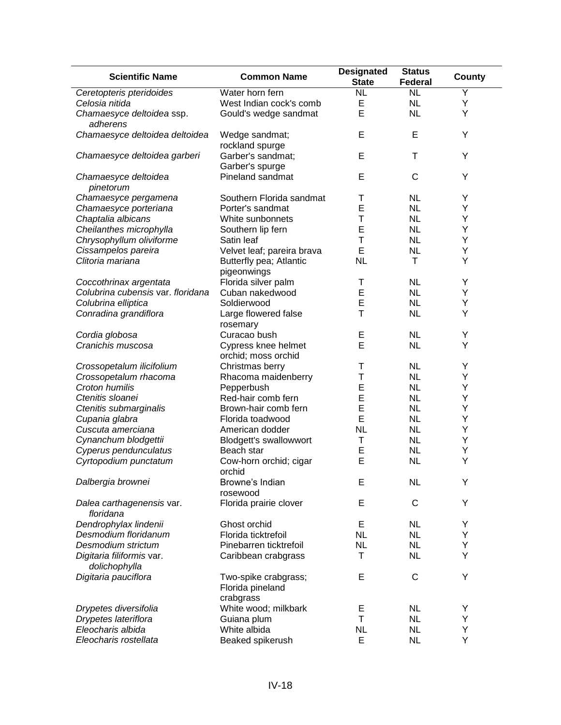| <b>Scientific Name</b>                     | <b>Common Name</b>                                    | <b>Designated</b><br><b>State</b> | <b>Status</b><br><b>Federal</b> | County |
|--------------------------------------------|-------------------------------------------------------|-----------------------------------|---------------------------------|--------|
| Ceretopteris pteridoides                   | Water horn fern                                       | <b>NL</b>                         | $\overline{\text{NL}}$          | Υ      |
| Celosia nitida                             | West Indian cock's comb                               | E                                 | <b>NL</b>                       | Υ      |
| Chamaesyce deltoidea ssp.<br>adherens      | Gould's wedge sandmat                                 | E                                 | <b>NL</b>                       | Υ      |
| Chamaesyce deltoidea deltoidea             | Wedge sandmat;<br>rockland spurge                     | E                                 | E                               | Υ      |
| Chamaesyce deltoidea garberi               | Garber's sandmat;<br>Garber's spurge                  | E                                 | Τ                               | Y      |
| Chamaesyce deltoidea<br>pinetorum          | Pineland sandmat                                      | E                                 | $\mathsf{C}$                    | Υ      |
| Chamaesyce pergamena                       | Southern Florida sandmat                              | Τ                                 | <b>NL</b>                       | Υ      |
| Chamaesyce porteriana                      | Porter's sandmat                                      | E                                 | <b>NL</b>                       | Υ      |
| Chaptalia albicans                         | White sunbonnets                                      | T                                 | <b>NL</b>                       | Υ      |
| Cheilanthes microphylla                    | Southern lip fern                                     | E                                 | <b>NL</b>                       | Υ      |
| Chrysophyllum oliviforme                   | Satin leaf                                            | T                                 | <b>NL</b>                       | Υ      |
| Cissampelos pareira                        | Velvet leaf; pareira brava                            | E                                 | <b>NL</b>                       | Υ      |
| Clitoria mariana                           | Butterfly pea; Atlantic<br>pigeonwings                | <b>NL</b>                         | Τ                               | Υ      |
| Coccothrinax argentata                     | Florida silver palm                                   | Τ                                 | <b>NL</b>                       | Y      |
| Colubrina cubensis var. floridana          | Cuban nakedwood                                       | E                                 | <b>NL</b>                       | Υ      |
|                                            |                                                       | E                                 |                                 |        |
| Colubrina elliptica                        | Soldierwood                                           | T                                 | <b>NL</b>                       | Υ      |
| Conradina grandiflora                      | Large flowered false<br>rosemary                      |                                   | <b>NL</b>                       | Υ      |
| Cordia globosa                             | Curacao bush                                          | E                                 | <b>NL</b>                       | Y      |
| Cranichis muscosa                          | Cypress knee helmet<br>orchid; moss orchid            | E                                 | <b>NL</b>                       | Υ      |
| Crossopetalum ilicifolium                  | Christmas berry                                       | Т                                 | <b>NL</b>                       | Y      |
| Crossopetalum rhacoma                      | Rhacoma maidenberry                                   | T                                 | <b>NL</b>                       | Υ      |
| Croton humilis                             | Pepperbush                                            | Ε                                 | <b>NL</b>                       | Υ      |
| Ctenitis sloanei                           | Red-hair comb fern                                    | E                                 | <b>NL</b>                       | Y      |
| Ctenitis submarginalis                     | Brown-hair comb fern                                  | E                                 | <b>NL</b>                       | Y      |
| Cupania glabra                             | Florida toadwood                                      | E                                 | <b>NL</b>                       | Υ      |
| Cuscuta amerciana                          | American dodder                                       | <b>NL</b>                         | <b>NL</b>                       | Υ      |
| Cynanchum blodgettii                       | Blodgett's swallowwort                                | T                                 | <b>NL</b>                       | Υ      |
| Cyperus pendunculatus                      | Beach star                                            | E                                 | <b>NL</b>                       | Υ      |
| Cyrtopodium punctatum                      | Cow-horn orchid; cigar<br>orchid                      | E                                 | <b>NL</b>                       | Υ      |
| Dalbergia brownei                          | Browne's Indian<br>rosewood                           | E                                 | <b>NL</b>                       | Y      |
| Dalea carthagenensis var.<br>floridana     | Florida prairie clover                                | E                                 | С                               | Υ      |
| Dendrophylax lindenii                      | Ghost orchid                                          | Е                                 | <b>NL</b>                       | Y      |
| Desmodium floridanum                       | Florida ticktrefoil                                   | <b>NL</b>                         | <b>NL</b>                       | Υ      |
| Desmodium strictum                         | Pinebarren ticktrefoil                                | <b>NL</b>                         | <b>NL</b>                       | Υ      |
|                                            |                                                       | Τ                                 |                                 | Υ      |
| Digitaria filiformis var.<br>dolichophylla | Caribbean crabgrass                                   |                                   | <b>NL</b>                       |        |
| Digitaria pauciflora                       | Two-spike crabgrass;<br>Florida pineland<br>crabgrass | E                                 | C                               | Υ      |
| Drypetes diversifolia                      | White wood; milkbark                                  | Е                                 | <b>NL</b>                       | Y      |
| Drypetes lateriflora                       | Guiana plum                                           | Τ                                 | <b>NL</b>                       | Υ      |
| Eleocharis albida                          | White albida                                          | <b>NL</b>                         | <b>NL</b>                       | Υ      |
| Eleocharis rostellata                      | Beaked spikerush                                      | E                                 | <b>NL</b>                       | Υ      |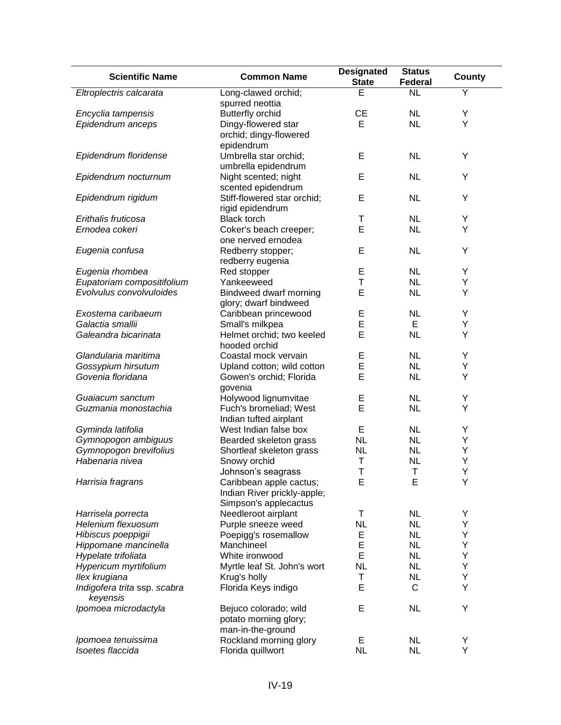| <b>Scientific Name</b>       | <b>Common Name</b>          | <b>Designated</b><br><b>State</b> | <b>Status</b><br>Federal | <b>County</b> |
|------------------------------|-----------------------------|-----------------------------------|--------------------------|---------------|
| Eltroplectris calcarata      | Long-clawed orchid;         | E                                 | <b>NL</b>                | Y             |
|                              | spurred neottia             |                                   |                          |               |
| Encyclia tampensis           | <b>Butterfly orchid</b>     | <b>CE</b>                         | <b>NL</b>                | Υ             |
| Epidendrum anceps            | Dingy-flowered star         | E                                 | <b>NL</b>                | Y             |
|                              | orchid; dingy-flowered      |                                   |                          |               |
|                              | epidendrum                  |                                   |                          |               |
| Epidendrum floridense        | Umbrella star orchid;       | E                                 | <b>NL</b>                | Υ             |
|                              | umbrella epidendrum         |                                   |                          |               |
| Epidendrum nocturnum         | Night scented; night        | E                                 | <b>NL</b>                | Υ             |
|                              | scented epidendrum          |                                   |                          |               |
| Epidendrum rigidum           | Stiff-flowered star orchid; | E                                 | <b>NL</b>                | Υ             |
|                              | rigid epidendrum            |                                   |                          |               |
| Erithalis fruticosa          | <b>Black torch</b>          | Т                                 | <b>NL</b>                | Y             |
| Ernodea cokeri               | Coker's beach creeper;      | E                                 | <b>NL</b>                | Υ             |
|                              | one nerved ernodea          |                                   |                          |               |
| Eugenia confusa              | Redberry stopper;           | E                                 | <b>NL</b>                | Υ             |
|                              | redberry eugenia            |                                   |                          |               |
| Eugenia rhombea              | Red stopper                 | Е                                 | <b>NL</b>                | Υ             |
| Eupatoriam compositifolium   | Yankeeweed                  | T                                 | <b>NL</b>                | Υ             |
| Evolvulus convolvuloides     | Bindweed dwarf morning      | E                                 | <b>NL</b>                | Υ             |
|                              |                             |                                   |                          |               |
| Exostema caribaeum           | glory; dwarf bindweed       |                                   | <b>NL</b>                | Υ             |
|                              | Caribbean princewood        | E                                 | E                        |               |
| Galactia smallii             | Small's milkpea             | E                                 |                          | Υ             |
| Galeandra bicarinata         | Helmet orchid; two keeled   | E                                 | <b>NL</b>                | Υ             |
|                              | hooded orchid               |                                   |                          |               |
| Glandularia maritima         | Coastal mock vervain        | Е                                 | <b>NL</b>                | Y             |
| Gossypium hirsutum           | Upland cotton; wild cotton  | E                                 | <b>NL</b>                | Υ             |
| Govenia floridana            | Gowen's orchid; Florida     | E                                 | <b>NL</b>                | Υ             |
|                              | govenia                     |                                   |                          |               |
| Guaiacum sanctum             | Holywood lignumvitae        | E                                 | <b>NL</b>                | Υ             |
| Guzmania monostachia         | Fuch's bromeliad; West      | E                                 | <b>NL</b>                | Υ             |
|                              | Indian tufted airplant      |                                   |                          |               |
| Gyminda latifolia            | West Indian false box       | E                                 | <b>NL</b>                | Υ             |
| Gymnopogon ambiguus          | Bearded skeleton grass      | <b>NL</b>                         | <b>NL</b>                | Υ             |
| Gymnopogon brevifolius       | Shortleaf skeleton grass    | <b>NL</b>                         | <b>NL</b>                | Υ             |
| Habenaria nivea              | Snowy orchid                | T                                 | <b>NL</b>                | Υ             |
|                              | Johnson's seagrass          | T                                 | Τ                        | Υ             |
| Harrisia fragrans            | Caribbean apple cactus;     | Е                                 | Е                        | Υ             |
|                              | Indian River prickly-apple; |                                   |                          |               |
|                              | Simpson's applecactus       |                                   |                          |               |
| Harrisela porrecta           | Needleroot airplant         | Τ                                 | <b>NL</b>                | Υ             |
| Helenium flexuosum           | Purple sneeze weed          | <b>NL</b>                         | <b>NL</b>                | Υ             |
| Hibiscus poeppigii           | Poepigg's rosemallow        | Ε                                 | <b>NL</b>                | Υ             |
| Hippomane mancinella         | Manchineel                  | E                                 | <b>NL</b>                | Y             |
| Hypelate trifoliata          | White ironwood              | E                                 | <b>NL</b>                | Y             |
| Hypericum myrtifolium        | Myrtle leaf St. John's wort | <b>NL</b>                         | <b>NL</b>                | Υ             |
| Ilex krugiana                | Krug's holly                | Т                                 | <b>NL</b>                | Υ             |
| Indigofera trita ssp. scabra | Florida Keys indigo         | E                                 | C                        | Υ             |
| keyensis                     |                             |                                   |                          |               |
| Ipomoea microdactyla         | Bejuco colorado; wild       | Е                                 | <b>NL</b>                | Υ             |
|                              | potato morning glory;       |                                   |                          |               |
|                              | man-in-the-ground           |                                   |                          |               |
| Ipomoea tenuissima           | Rockland morning glory      | Е                                 | <b>NL</b>                | Υ             |
| Isoetes flaccida             | Florida quillwort           | <b>NL</b>                         | <b>NL</b>                | Υ             |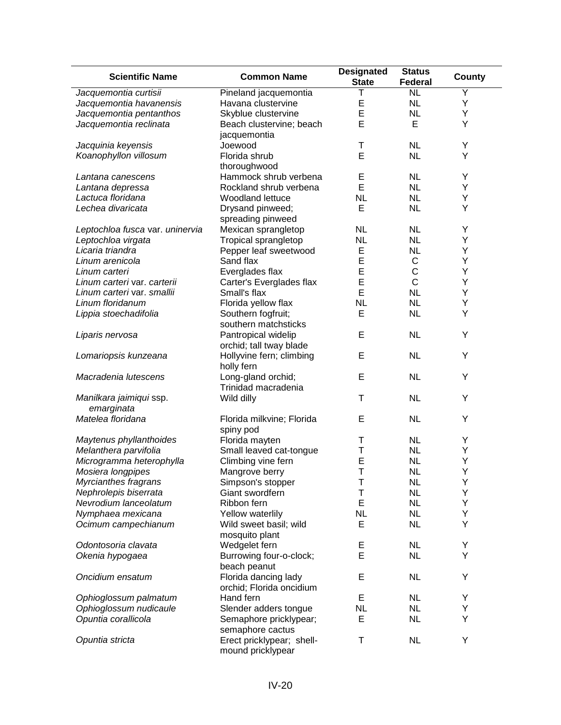| Jacquemontia curtisii<br><b>NL</b><br>Pineland jacquemontia<br>Y<br>Ε<br><b>NL</b><br>Jacquemontia havanensis<br>Havana clustervine<br>Υ<br>E<br>Jacquemontia pentanthos<br><b>NL</b><br>Υ<br>Skyblue clustervine<br>E<br>E<br>Υ<br>Jacquemontia reclinata<br>Beach clustervine; beach<br>jacquemontia<br><b>NL</b><br>Υ<br>Jacquinia keyensis<br>Joewood<br>Τ<br>E<br>Υ<br><b>NL</b><br>Koanophyllon villosum<br>Florida shrub<br>thoroughwood<br>Hammock shrub verbena<br>Ε<br><b>NL</b><br>Υ<br>Lantana canescens<br>E<br><b>NL</b><br>Rockland shrub verbena<br>Y<br>Lantana depressa<br>Lactuca floridana<br><b>NL</b><br><b>NL</b><br>Woodland lettuce<br>Y<br>Lechea divaricata<br>E<br><b>NL</b><br>Drysand pinweed;<br>Υ<br>spreading pinweed<br><b>NL</b><br><b>NL</b><br>Leptochloa fusca var. uninervia<br>Mexican sprangletop<br>Υ<br><b>NL</b><br><b>NL</b><br>Υ<br>Leptochloa virgata<br>Tropical sprangletop<br>E<br><b>NL</b><br>Υ<br>Licaria triandra<br>Pepper leaf sweetwood<br>E<br>C<br>Υ<br>Linum arenicola<br>Sand flax<br>E<br>$\mathsf C$<br>Υ<br>Linum carteri<br>Everglades flax<br>$\mathsf{C}$<br>E<br>Υ<br>Carter's Everglades flax<br>Linum carteri var. carterii<br>E<br><b>NL</b><br>Small's flax<br>Υ<br>Linum carteri var. smallii<br>Linum floridanum<br>Florida yellow flax<br><b>NL</b><br><b>NL</b><br>Υ<br>E<br><b>NL</b><br>Υ<br>Lippia stoechadifolia<br>Southern fogfruit;<br>southern matchsticks<br>E<br><b>NL</b><br>Liparis nervosa<br>Pantropical widelip<br>Υ<br>orchid; tall tway blade<br>E<br><b>NL</b><br>Υ<br>Hollyvine fern; climbing<br>Lomariopsis kunzeana<br>holly fern<br>E<br><b>NL</b><br>Υ<br>Macradenia lutescens<br>Long-gland orchid;<br>Trinidad macradenia<br><b>NL</b><br>Υ<br>Wild dilly<br>Τ<br>Manilkara jaimiqui ssp.<br>emarginata<br>Matelea floridana<br>E<br><b>NL</b><br>Υ<br>Florida milkvine; Florida<br>spiny pod<br>Florida mayten<br><b>NL</b><br>Υ<br>Maytenus phyllanthoides<br>Τ<br>Melanthera parvifolia<br><b>NL</b><br>Small leaved cat-tongue<br>Т<br>Υ<br>E<br>Microgramma heterophylla<br><b>NL</b><br>Υ<br>Climbing vine fern<br>Τ<br>Mosiera longpipes<br><b>NL</b><br>Y<br>Mangrove berry<br>Т<br><b>NL</b><br>Υ<br>Myrcianthes fragrans<br>Simpson's stopper<br>Nephrolepis biserrata<br>Giant swordfern<br>Т<br><b>NL</b><br>Υ<br>Nevrodium lanceolatum<br>E<br><b>NL</b><br>Υ<br>Ribbon fern<br><b>NL</b><br><b>NL</b><br>Υ<br>Nymphaea mexicana<br>Yellow waterlily<br>E<br><b>NL</b><br>Υ<br>Ocimum campechianum<br>Wild sweet basil; wild<br>mosquito plant<br><b>NL</b><br>Υ<br>Odontosoria clavata<br>Wedgelet fern<br>Е<br>E<br><b>NL</b><br>Υ<br>Okenia hypogaea<br>Burrowing four-o-clock;<br>beach peanut<br>Oncidium ensatum<br>Florida dancing lady<br>E<br><b>NL</b><br>Υ<br>orchid; Florida oncidium<br>Е<br><b>NL</b><br>Ophioglossum palmatum<br>Hand fern<br>Y<br><b>NL</b><br>Ophioglossum nudicaule<br>Slender adders tongue<br><b>NL</b><br>Υ<br>Opuntia corallicola<br>E<br><b>NL</b><br>Υ<br>Semaphore pricklypear;<br>semaphore cactus | <b>Scientific Name</b> | <b>Common Name</b> | <b>Designated</b><br><b>State</b> | <b>Status</b><br>Federal | County |
|-----------------------------------------------------------------------------------------------------------------------------------------------------------------------------------------------------------------------------------------------------------------------------------------------------------------------------------------------------------------------------------------------------------------------------------------------------------------------------------------------------------------------------------------------------------------------------------------------------------------------------------------------------------------------------------------------------------------------------------------------------------------------------------------------------------------------------------------------------------------------------------------------------------------------------------------------------------------------------------------------------------------------------------------------------------------------------------------------------------------------------------------------------------------------------------------------------------------------------------------------------------------------------------------------------------------------------------------------------------------------------------------------------------------------------------------------------------------------------------------------------------------------------------------------------------------------------------------------------------------------------------------------------------------------------------------------------------------------------------------------------------------------------------------------------------------------------------------------------------------------------------------------------------------------------------------------------------------------------------------------------------------------------------------------------------------------------------------------------------------------------------------------------------------------------------------------------------------------------------------------------------------------------------------------------------------------------------------------------------------------------------------------------------------------------------------------------------------------------------------------------------------------------------------------------------------------------------------------------------------------------------------------------------------------------------------------------------------------------------------------------------------------------------------------------------------------------------------------------------------------------------------------------------------------------------------------------------------------------------------------------------------------------------------------------------------|------------------------|--------------------|-----------------------------------|--------------------------|--------|
|                                                                                                                                                                                                                                                                                                                                                                                                                                                                                                                                                                                                                                                                                                                                                                                                                                                                                                                                                                                                                                                                                                                                                                                                                                                                                                                                                                                                                                                                                                                                                                                                                                                                                                                                                                                                                                                                                                                                                                                                                                                                                                                                                                                                                                                                                                                                                                                                                                                                                                                                                                                                                                                                                                                                                                                                                                                                                                                                                                                                                                                                 |                        |                    |                                   |                          |        |
|                                                                                                                                                                                                                                                                                                                                                                                                                                                                                                                                                                                                                                                                                                                                                                                                                                                                                                                                                                                                                                                                                                                                                                                                                                                                                                                                                                                                                                                                                                                                                                                                                                                                                                                                                                                                                                                                                                                                                                                                                                                                                                                                                                                                                                                                                                                                                                                                                                                                                                                                                                                                                                                                                                                                                                                                                                                                                                                                                                                                                                                                 |                        |                    |                                   |                          |        |
|                                                                                                                                                                                                                                                                                                                                                                                                                                                                                                                                                                                                                                                                                                                                                                                                                                                                                                                                                                                                                                                                                                                                                                                                                                                                                                                                                                                                                                                                                                                                                                                                                                                                                                                                                                                                                                                                                                                                                                                                                                                                                                                                                                                                                                                                                                                                                                                                                                                                                                                                                                                                                                                                                                                                                                                                                                                                                                                                                                                                                                                                 |                        |                    |                                   |                          |        |
|                                                                                                                                                                                                                                                                                                                                                                                                                                                                                                                                                                                                                                                                                                                                                                                                                                                                                                                                                                                                                                                                                                                                                                                                                                                                                                                                                                                                                                                                                                                                                                                                                                                                                                                                                                                                                                                                                                                                                                                                                                                                                                                                                                                                                                                                                                                                                                                                                                                                                                                                                                                                                                                                                                                                                                                                                                                                                                                                                                                                                                                                 |                        |                    |                                   |                          |        |
|                                                                                                                                                                                                                                                                                                                                                                                                                                                                                                                                                                                                                                                                                                                                                                                                                                                                                                                                                                                                                                                                                                                                                                                                                                                                                                                                                                                                                                                                                                                                                                                                                                                                                                                                                                                                                                                                                                                                                                                                                                                                                                                                                                                                                                                                                                                                                                                                                                                                                                                                                                                                                                                                                                                                                                                                                                                                                                                                                                                                                                                                 |                        |                    |                                   |                          |        |
|                                                                                                                                                                                                                                                                                                                                                                                                                                                                                                                                                                                                                                                                                                                                                                                                                                                                                                                                                                                                                                                                                                                                                                                                                                                                                                                                                                                                                                                                                                                                                                                                                                                                                                                                                                                                                                                                                                                                                                                                                                                                                                                                                                                                                                                                                                                                                                                                                                                                                                                                                                                                                                                                                                                                                                                                                                                                                                                                                                                                                                                                 |                        |                    |                                   |                          |        |
|                                                                                                                                                                                                                                                                                                                                                                                                                                                                                                                                                                                                                                                                                                                                                                                                                                                                                                                                                                                                                                                                                                                                                                                                                                                                                                                                                                                                                                                                                                                                                                                                                                                                                                                                                                                                                                                                                                                                                                                                                                                                                                                                                                                                                                                                                                                                                                                                                                                                                                                                                                                                                                                                                                                                                                                                                                                                                                                                                                                                                                                                 |                        |                    |                                   |                          |        |
|                                                                                                                                                                                                                                                                                                                                                                                                                                                                                                                                                                                                                                                                                                                                                                                                                                                                                                                                                                                                                                                                                                                                                                                                                                                                                                                                                                                                                                                                                                                                                                                                                                                                                                                                                                                                                                                                                                                                                                                                                                                                                                                                                                                                                                                                                                                                                                                                                                                                                                                                                                                                                                                                                                                                                                                                                                                                                                                                                                                                                                                                 |                        |                    |                                   |                          |        |
|                                                                                                                                                                                                                                                                                                                                                                                                                                                                                                                                                                                                                                                                                                                                                                                                                                                                                                                                                                                                                                                                                                                                                                                                                                                                                                                                                                                                                                                                                                                                                                                                                                                                                                                                                                                                                                                                                                                                                                                                                                                                                                                                                                                                                                                                                                                                                                                                                                                                                                                                                                                                                                                                                                                                                                                                                                                                                                                                                                                                                                                                 |                        |                    |                                   |                          |        |
|                                                                                                                                                                                                                                                                                                                                                                                                                                                                                                                                                                                                                                                                                                                                                                                                                                                                                                                                                                                                                                                                                                                                                                                                                                                                                                                                                                                                                                                                                                                                                                                                                                                                                                                                                                                                                                                                                                                                                                                                                                                                                                                                                                                                                                                                                                                                                                                                                                                                                                                                                                                                                                                                                                                                                                                                                                                                                                                                                                                                                                                                 |                        |                    |                                   |                          |        |
|                                                                                                                                                                                                                                                                                                                                                                                                                                                                                                                                                                                                                                                                                                                                                                                                                                                                                                                                                                                                                                                                                                                                                                                                                                                                                                                                                                                                                                                                                                                                                                                                                                                                                                                                                                                                                                                                                                                                                                                                                                                                                                                                                                                                                                                                                                                                                                                                                                                                                                                                                                                                                                                                                                                                                                                                                                                                                                                                                                                                                                                                 |                        |                    |                                   |                          |        |
|                                                                                                                                                                                                                                                                                                                                                                                                                                                                                                                                                                                                                                                                                                                                                                                                                                                                                                                                                                                                                                                                                                                                                                                                                                                                                                                                                                                                                                                                                                                                                                                                                                                                                                                                                                                                                                                                                                                                                                                                                                                                                                                                                                                                                                                                                                                                                                                                                                                                                                                                                                                                                                                                                                                                                                                                                                                                                                                                                                                                                                                                 |                        |                    |                                   |                          |        |
|                                                                                                                                                                                                                                                                                                                                                                                                                                                                                                                                                                                                                                                                                                                                                                                                                                                                                                                                                                                                                                                                                                                                                                                                                                                                                                                                                                                                                                                                                                                                                                                                                                                                                                                                                                                                                                                                                                                                                                                                                                                                                                                                                                                                                                                                                                                                                                                                                                                                                                                                                                                                                                                                                                                                                                                                                                                                                                                                                                                                                                                                 |                        |                    |                                   |                          |        |
|                                                                                                                                                                                                                                                                                                                                                                                                                                                                                                                                                                                                                                                                                                                                                                                                                                                                                                                                                                                                                                                                                                                                                                                                                                                                                                                                                                                                                                                                                                                                                                                                                                                                                                                                                                                                                                                                                                                                                                                                                                                                                                                                                                                                                                                                                                                                                                                                                                                                                                                                                                                                                                                                                                                                                                                                                                                                                                                                                                                                                                                                 |                        |                    |                                   |                          |        |
|                                                                                                                                                                                                                                                                                                                                                                                                                                                                                                                                                                                                                                                                                                                                                                                                                                                                                                                                                                                                                                                                                                                                                                                                                                                                                                                                                                                                                                                                                                                                                                                                                                                                                                                                                                                                                                                                                                                                                                                                                                                                                                                                                                                                                                                                                                                                                                                                                                                                                                                                                                                                                                                                                                                                                                                                                                                                                                                                                                                                                                                                 |                        |                    |                                   |                          |        |
|                                                                                                                                                                                                                                                                                                                                                                                                                                                                                                                                                                                                                                                                                                                                                                                                                                                                                                                                                                                                                                                                                                                                                                                                                                                                                                                                                                                                                                                                                                                                                                                                                                                                                                                                                                                                                                                                                                                                                                                                                                                                                                                                                                                                                                                                                                                                                                                                                                                                                                                                                                                                                                                                                                                                                                                                                                                                                                                                                                                                                                                                 |                        |                    |                                   |                          |        |
|                                                                                                                                                                                                                                                                                                                                                                                                                                                                                                                                                                                                                                                                                                                                                                                                                                                                                                                                                                                                                                                                                                                                                                                                                                                                                                                                                                                                                                                                                                                                                                                                                                                                                                                                                                                                                                                                                                                                                                                                                                                                                                                                                                                                                                                                                                                                                                                                                                                                                                                                                                                                                                                                                                                                                                                                                                                                                                                                                                                                                                                                 |                        |                    |                                   |                          |        |
|                                                                                                                                                                                                                                                                                                                                                                                                                                                                                                                                                                                                                                                                                                                                                                                                                                                                                                                                                                                                                                                                                                                                                                                                                                                                                                                                                                                                                                                                                                                                                                                                                                                                                                                                                                                                                                                                                                                                                                                                                                                                                                                                                                                                                                                                                                                                                                                                                                                                                                                                                                                                                                                                                                                                                                                                                                                                                                                                                                                                                                                                 |                        |                    |                                   |                          |        |
|                                                                                                                                                                                                                                                                                                                                                                                                                                                                                                                                                                                                                                                                                                                                                                                                                                                                                                                                                                                                                                                                                                                                                                                                                                                                                                                                                                                                                                                                                                                                                                                                                                                                                                                                                                                                                                                                                                                                                                                                                                                                                                                                                                                                                                                                                                                                                                                                                                                                                                                                                                                                                                                                                                                                                                                                                                                                                                                                                                                                                                                                 |                        |                    |                                   |                          |        |
|                                                                                                                                                                                                                                                                                                                                                                                                                                                                                                                                                                                                                                                                                                                                                                                                                                                                                                                                                                                                                                                                                                                                                                                                                                                                                                                                                                                                                                                                                                                                                                                                                                                                                                                                                                                                                                                                                                                                                                                                                                                                                                                                                                                                                                                                                                                                                                                                                                                                                                                                                                                                                                                                                                                                                                                                                                                                                                                                                                                                                                                                 |                        |                    |                                   |                          |        |
|                                                                                                                                                                                                                                                                                                                                                                                                                                                                                                                                                                                                                                                                                                                                                                                                                                                                                                                                                                                                                                                                                                                                                                                                                                                                                                                                                                                                                                                                                                                                                                                                                                                                                                                                                                                                                                                                                                                                                                                                                                                                                                                                                                                                                                                                                                                                                                                                                                                                                                                                                                                                                                                                                                                                                                                                                                                                                                                                                                                                                                                                 |                        |                    |                                   |                          |        |
|                                                                                                                                                                                                                                                                                                                                                                                                                                                                                                                                                                                                                                                                                                                                                                                                                                                                                                                                                                                                                                                                                                                                                                                                                                                                                                                                                                                                                                                                                                                                                                                                                                                                                                                                                                                                                                                                                                                                                                                                                                                                                                                                                                                                                                                                                                                                                                                                                                                                                                                                                                                                                                                                                                                                                                                                                                                                                                                                                                                                                                                                 |                        |                    |                                   |                          |        |
|                                                                                                                                                                                                                                                                                                                                                                                                                                                                                                                                                                                                                                                                                                                                                                                                                                                                                                                                                                                                                                                                                                                                                                                                                                                                                                                                                                                                                                                                                                                                                                                                                                                                                                                                                                                                                                                                                                                                                                                                                                                                                                                                                                                                                                                                                                                                                                                                                                                                                                                                                                                                                                                                                                                                                                                                                                                                                                                                                                                                                                                                 |                        |                    |                                   |                          |        |
|                                                                                                                                                                                                                                                                                                                                                                                                                                                                                                                                                                                                                                                                                                                                                                                                                                                                                                                                                                                                                                                                                                                                                                                                                                                                                                                                                                                                                                                                                                                                                                                                                                                                                                                                                                                                                                                                                                                                                                                                                                                                                                                                                                                                                                                                                                                                                                                                                                                                                                                                                                                                                                                                                                                                                                                                                                                                                                                                                                                                                                                                 |                        |                    |                                   |                          |        |
|                                                                                                                                                                                                                                                                                                                                                                                                                                                                                                                                                                                                                                                                                                                                                                                                                                                                                                                                                                                                                                                                                                                                                                                                                                                                                                                                                                                                                                                                                                                                                                                                                                                                                                                                                                                                                                                                                                                                                                                                                                                                                                                                                                                                                                                                                                                                                                                                                                                                                                                                                                                                                                                                                                                                                                                                                                                                                                                                                                                                                                                                 |                        |                    |                                   |                          |        |
|                                                                                                                                                                                                                                                                                                                                                                                                                                                                                                                                                                                                                                                                                                                                                                                                                                                                                                                                                                                                                                                                                                                                                                                                                                                                                                                                                                                                                                                                                                                                                                                                                                                                                                                                                                                                                                                                                                                                                                                                                                                                                                                                                                                                                                                                                                                                                                                                                                                                                                                                                                                                                                                                                                                                                                                                                                                                                                                                                                                                                                                                 |                        |                    |                                   |                          |        |
|                                                                                                                                                                                                                                                                                                                                                                                                                                                                                                                                                                                                                                                                                                                                                                                                                                                                                                                                                                                                                                                                                                                                                                                                                                                                                                                                                                                                                                                                                                                                                                                                                                                                                                                                                                                                                                                                                                                                                                                                                                                                                                                                                                                                                                                                                                                                                                                                                                                                                                                                                                                                                                                                                                                                                                                                                                                                                                                                                                                                                                                                 |                        |                    |                                   |                          |        |
|                                                                                                                                                                                                                                                                                                                                                                                                                                                                                                                                                                                                                                                                                                                                                                                                                                                                                                                                                                                                                                                                                                                                                                                                                                                                                                                                                                                                                                                                                                                                                                                                                                                                                                                                                                                                                                                                                                                                                                                                                                                                                                                                                                                                                                                                                                                                                                                                                                                                                                                                                                                                                                                                                                                                                                                                                                                                                                                                                                                                                                                                 |                        |                    |                                   |                          |        |
|                                                                                                                                                                                                                                                                                                                                                                                                                                                                                                                                                                                                                                                                                                                                                                                                                                                                                                                                                                                                                                                                                                                                                                                                                                                                                                                                                                                                                                                                                                                                                                                                                                                                                                                                                                                                                                                                                                                                                                                                                                                                                                                                                                                                                                                                                                                                                                                                                                                                                                                                                                                                                                                                                                                                                                                                                                                                                                                                                                                                                                                                 |                        |                    |                                   |                          |        |
|                                                                                                                                                                                                                                                                                                                                                                                                                                                                                                                                                                                                                                                                                                                                                                                                                                                                                                                                                                                                                                                                                                                                                                                                                                                                                                                                                                                                                                                                                                                                                                                                                                                                                                                                                                                                                                                                                                                                                                                                                                                                                                                                                                                                                                                                                                                                                                                                                                                                                                                                                                                                                                                                                                                                                                                                                                                                                                                                                                                                                                                                 |                        |                    |                                   |                          |        |
|                                                                                                                                                                                                                                                                                                                                                                                                                                                                                                                                                                                                                                                                                                                                                                                                                                                                                                                                                                                                                                                                                                                                                                                                                                                                                                                                                                                                                                                                                                                                                                                                                                                                                                                                                                                                                                                                                                                                                                                                                                                                                                                                                                                                                                                                                                                                                                                                                                                                                                                                                                                                                                                                                                                                                                                                                                                                                                                                                                                                                                                                 |                        |                    |                                   |                          |        |
|                                                                                                                                                                                                                                                                                                                                                                                                                                                                                                                                                                                                                                                                                                                                                                                                                                                                                                                                                                                                                                                                                                                                                                                                                                                                                                                                                                                                                                                                                                                                                                                                                                                                                                                                                                                                                                                                                                                                                                                                                                                                                                                                                                                                                                                                                                                                                                                                                                                                                                                                                                                                                                                                                                                                                                                                                                                                                                                                                                                                                                                                 |                        |                    |                                   |                          |        |
|                                                                                                                                                                                                                                                                                                                                                                                                                                                                                                                                                                                                                                                                                                                                                                                                                                                                                                                                                                                                                                                                                                                                                                                                                                                                                                                                                                                                                                                                                                                                                                                                                                                                                                                                                                                                                                                                                                                                                                                                                                                                                                                                                                                                                                                                                                                                                                                                                                                                                                                                                                                                                                                                                                                                                                                                                                                                                                                                                                                                                                                                 |                        |                    |                                   |                          |        |
|                                                                                                                                                                                                                                                                                                                                                                                                                                                                                                                                                                                                                                                                                                                                                                                                                                                                                                                                                                                                                                                                                                                                                                                                                                                                                                                                                                                                                                                                                                                                                                                                                                                                                                                                                                                                                                                                                                                                                                                                                                                                                                                                                                                                                                                                                                                                                                                                                                                                                                                                                                                                                                                                                                                                                                                                                                                                                                                                                                                                                                                                 |                        |                    |                                   |                          |        |
|                                                                                                                                                                                                                                                                                                                                                                                                                                                                                                                                                                                                                                                                                                                                                                                                                                                                                                                                                                                                                                                                                                                                                                                                                                                                                                                                                                                                                                                                                                                                                                                                                                                                                                                                                                                                                                                                                                                                                                                                                                                                                                                                                                                                                                                                                                                                                                                                                                                                                                                                                                                                                                                                                                                                                                                                                                                                                                                                                                                                                                                                 |                        |                    |                                   |                          |        |
|                                                                                                                                                                                                                                                                                                                                                                                                                                                                                                                                                                                                                                                                                                                                                                                                                                                                                                                                                                                                                                                                                                                                                                                                                                                                                                                                                                                                                                                                                                                                                                                                                                                                                                                                                                                                                                                                                                                                                                                                                                                                                                                                                                                                                                                                                                                                                                                                                                                                                                                                                                                                                                                                                                                                                                                                                                                                                                                                                                                                                                                                 |                        |                    |                                   |                          |        |
|                                                                                                                                                                                                                                                                                                                                                                                                                                                                                                                                                                                                                                                                                                                                                                                                                                                                                                                                                                                                                                                                                                                                                                                                                                                                                                                                                                                                                                                                                                                                                                                                                                                                                                                                                                                                                                                                                                                                                                                                                                                                                                                                                                                                                                                                                                                                                                                                                                                                                                                                                                                                                                                                                                                                                                                                                                                                                                                                                                                                                                                                 |                        |                    |                                   |                          |        |
|                                                                                                                                                                                                                                                                                                                                                                                                                                                                                                                                                                                                                                                                                                                                                                                                                                                                                                                                                                                                                                                                                                                                                                                                                                                                                                                                                                                                                                                                                                                                                                                                                                                                                                                                                                                                                                                                                                                                                                                                                                                                                                                                                                                                                                                                                                                                                                                                                                                                                                                                                                                                                                                                                                                                                                                                                                                                                                                                                                                                                                                                 |                        |                    |                                   |                          |        |
|                                                                                                                                                                                                                                                                                                                                                                                                                                                                                                                                                                                                                                                                                                                                                                                                                                                                                                                                                                                                                                                                                                                                                                                                                                                                                                                                                                                                                                                                                                                                                                                                                                                                                                                                                                                                                                                                                                                                                                                                                                                                                                                                                                                                                                                                                                                                                                                                                                                                                                                                                                                                                                                                                                                                                                                                                                                                                                                                                                                                                                                                 |                        |                    |                                   |                          |        |
|                                                                                                                                                                                                                                                                                                                                                                                                                                                                                                                                                                                                                                                                                                                                                                                                                                                                                                                                                                                                                                                                                                                                                                                                                                                                                                                                                                                                                                                                                                                                                                                                                                                                                                                                                                                                                                                                                                                                                                                                                                                                                                                                                                                                                                                                                                                                                                                                                                                                                                                                                                                                                                                                                                                                                                                                                                                                                                                                                                                                                                                                 |                        |                    |                                   |                          |        |
|                                                                                                                                                                                                                                                                                                                                                                                                                                                                                                                                                                                                                                                                                                                                                                                                                                                                                                                                                                                                                                                                                                                                                                                                                                                                                                                                                                                                                                                                                                                                                                                                                                                                                                                                                                                                                                                                                                                                                                                                                                                                                                                                                                                                                                                                                                                                                                                                                                                                                                                                                                                                                                                                                                                                                                                                                                                                                                                                                                                                                                                                 |                        |                    |                                   |                          |        |
|                                                                                                                                                                                                                                                                                                                                                                                                                                                                                                                                                                                                                                                                                                                                                                                                                                                                                                                                                                                                                                                                                                                                                                                                                                                                                                                                                                                                                                                                                                                                                                                                                                                                                                                                                                                                                                                                                                                                                                                                                                                                                                                                                                                                                                                                                                                                                                                                                                                                                                                                                                                                                                                                                                                                                                                                                                                                                                                                                                                                                                                                 |                        |                    |                                   |                          |        |
|                                                                                                                                                                                                                                                                                                                                                                                                                                                                                                                                                                                                                                                                                                                                                                                                                                                                                                                                                                                                                                                                                                                                                                                                                                                                                                                                                                                                                                                                                                                                                                                                                                                                                                                                                                                                                                                                                                                                                                                                                                                                                                                                                                                                                                                                                                                                                                                                                                                                                                                                                                                                                                                                                                                                                                                                                                                                                                                                                                                                                                                                 |                        |                    |                                   |                          |        |
|                                                                                                                                                                                                                                                                                                                                                                                                                                                                                                                                                                                                                                                                                                                                                                                                                                                                                                                                                                                                                                                                                                                                                                                                                                                                                                                                                                                                                                                                                                                                                                                                                                                                                                                                                                                                                                                                                                                                                                                                                                                                                                                                                                                                                                                                                                                                                                                                                                                                                                                                                                                                                                                                                                                                                                                                                                                                                                                                                                                                                                                                 |                        |                    |                                   |                          |        |
|                                                                                                                                                                                                                                                                                                                                                                                                                                                                                                                                                                                                                                                                                                                                                                                                                                                                                                                                                                                                                                                                                                                                                                                                                                                                                                                                                                                                                                                                                                                                                                                                                                                                                                                                                                                                                                                                                                                                                                                                                                                                                                                                                                                                                                                                                                                                                                                                                                                                                                                                                                                                                                                                                                                                                                                                                                                                                                                                                                                                                                                                 |                        |                    |                                   |                          |        |
|                                                                                                                                                                                                                                                                                                                                                                                                                                                                                                                                                                                                                                                                                                                                                                                                                                                                                                                                                                                                                                                                                                                                                                                                                                                                                                                                                                                                                                                                                                                                                                                                                                                                                                                                                                                                                                                                                                                                                                                                                                                                                                                                                                                                                                                                                                                                                                                                                                                                                                                                                                                                                                                                                                                                                                                                                                                                                                                                                                                                                                                                 |                        |                    |                                   |                          |        |
|                                                                                                                                                                                                                                                                                                                                                                                                                                                                                                                                                                                                                                                                                                                                                                                                                                                                                                                                                                                                                                                                                                                                                                                                                                                                                                                                                                                                                                                                                                                                                                                                                                                                                                                                                                                                                                                                                                                                                                                                                                                                                                                                                                                                                                                                                                                                                                                                                                                                                                                                                                                                                                                                                                                                                                                                                                                                                                                                                                                                                                                                 |                        |                    |                                   |                          |        |
|                                                                                                                                                                                                                                                                                                                                                                                                                                                                                                                                                                                                                                                                                                                                                                                                                                                                                                                                                                                                                                                                                                                                                                                                                                                                                                                                                                                                                                                                                                                                                                                                                                                                                                                                                                                                                                                                                                                                                                                                                                                                                                                                                                                                                                                                                                                                                                                                                                                                                                                                                                                                                                                                                                                                                                                                                                                                                                                                                                                                                                                                 |                        |                    |                                   |                          |        |
|                                                                                                                                                                                                                                                                                                                                                                                                                                                                                                                                                                                                                                                                                                                                                                                                                                                                                                                                                                                                                                                                                                                                                                                                                                                                                                                                                                                                                                                                                                                                                                                                                                                                                                                                                                                                                                                                                                                                                                                                                                                                                                                                                                                                                                                                                                                                                                                                                                                                                                                                                                                                                                                                                                                                                                                                                                                                                                                                                                                                                                                                 |                        |                    |                                   |                          |        |
|                                                                                                                                                                                                                                                                                                                                                                                                                                                                                                                                                                                                                                                                                                                                                                                                                                                                                                                                                                                                                                                                                                                                                                                                                                                                                                                                                                                                                                                                                                                                                                                                                                                                                                                                                                                                                                                                                                                                                                                                                                                                                                                                                                                                                                                                                                                                                                                                                                                                                                                                                                                                                                                                                                                                                                                                                                                                                                                                                                                                                                                                 |                        |                    |                                   |                          |        |
|                                                                                                                                                                                                                                                                                                                                                                                                                                                                                                                                                                                                                                                                                                                                                                                                                                                                                                                                                                                                                                                                                                                                                                                                                                                                                                                                                                                                                                                                                                                                                                                                                                                                                                                                                                                                                                                                                                                                                                                                                                                                                                                                                                                                                                                                                                                                                                                                                                                                                                                                                                                                                                                                                                                                                                                                                                                                                                                                                                                                                                                                 |                        |                    |                                   |                          |        |
|                                                                                                                                                                                                                                                                                                                                                                                                                                                                                                                                                                                                                                                                                                                                                                                                                                                                                                                                                                                                                                                                                                                                                                                                                                                                                                                                                                                                                                                                                                                                                                                                                                                                                                                                                                                                                                                                                                                                                                                                                                                                                                                                                                                                                                                                                                                                                                                                                                                                                                                                                                                                                                                                                                                                                                                                                                                                                                                                                                                                                                                                 |                        |                    |                                   |                          |        |
|                                                                                                                                                                                                                                                                                                                                                                                                                                                                                                                                                                                                                                                                                                                                                                                                                                                                                                                                                                                                                                                                                                                                                                                                                                                                                                                                                                                                                                                                                                                                                                                                                                                                                                                                                                                                                                                                                                                                                                                                                                                                                                                                                                                                                                                                                                                                                                                                                                                                                                                                                                                                                                                                                                                                                                                                                                                                                                                                                                                                                                                                 |                        |                    |                                   |                          |        |
|                                                                                                                                                                                                                                                                                                                                                                                                                                                                                                                                                                                                                                                                                                                                                                                                                                                                                                                                                                                                                                                                                                                                                                                                                                                                                                                                                                                                                                                                                                                                                                                                                                                                                                                                                                                                                                                                                                                                                                                                                                                                                                                                                                                                                                                                                                                                                                                                                                                                                                                                                                                                                                                                                                                                                                                                                                                                                                                                                                                                                                                                 |                        |                    |                                   |                          |        |
| Υ<br>Opuntia stricta<br>Erect pricklypear; shell-<br>Τ<br><b>NL</b>                                                                                                                                                                                                                                                                                                                                                                                                                                                                                                                                                                                                                                                                                                                                                                                                                                                                                                                                                                                                                                                                                                                                                                                                                                                                                                                                                                                                                                                                                                                                                                                                                                                                                                                                                                                                                                                                                                                                                                                                                                                                                                                                                                                                                                                                                                                                                                                                                                                                                                                                                                                                                                                                                                                                                                                                                                                                                                                                                                                             |                        |                    |                                   |                          |        |
| mound pricklypear                                                                                                                                                                                                                                                                                                                                                                                                                                                                                                                                                                                                                                                                                                                                                                                                                                                                                                                                                                                                                                                                                                                                                                                                                                                                                                                                                                                                                                                                                                                                                                                                                                                                                                                                                                                                                                                                                                                                                                                                                                                                                                                                                                                                                                                                                                                                                                                                                                                                                                                                                                                                                                                                                                                                                                                                                                                                                                                                                                                                                                               |                        |                    |                                   |                          |        |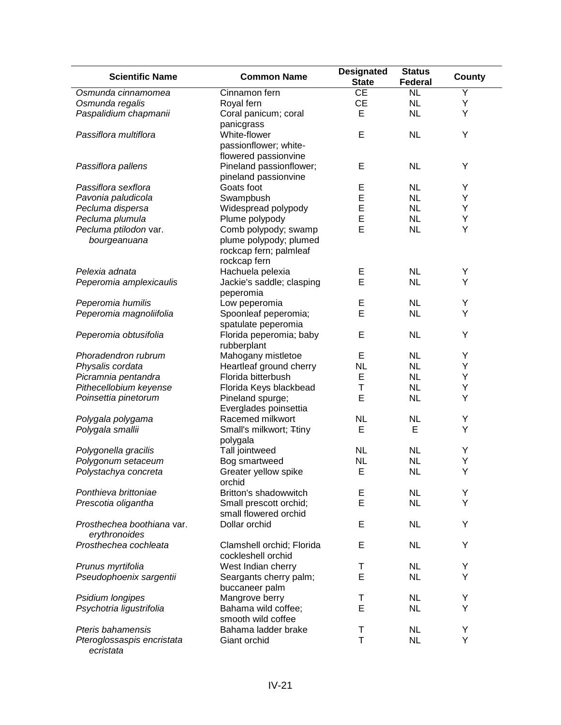| <b>Scientific Name</b>                      | <b>Common Name</b>              | <b>Designated</b><br><b>State</b> | <b>Status</b><br><b>Federal</b> | County |
|---------------------------------------------|---------------------------------|-----------------------------------|---------------------------------|--------|
| Osmunda cinnamomea                          | Cinnamon fern                   | CE                                | $\overline{\text{NL}}$          | Y      |
| Osmunda regalis                             | Royal fern                      | <b>CE</b>                         | <b>NL</b>                       | Υ      |
| Paspalidium chapmanii                       | Coral panicum; coral            | E                                 | <b>NL</b>                       | Υ      |
|                                             | panicgrass                      |                                   |                                 |        |
| Passiflora multiflora                       | White-flower                    | E                                 | <b>NL</b>                       | Υ      |
|                                             | passionflower; white-           |                                   |                                 |        |
|                                             | flowered passionvine            |                                   |                                 |        |
| Passiflora pallens                          | Pineland passionflower;         | E                                 | <b>NL</b>                       | Υ      |
|                                             | pineland passionvine            |                                   |                                 |        |
| Passiflora sexflora                         | Goats foot                      | E                                 | <b>NL</b>                       | Υ      |
| Pavonia paludicola                          | Swampbush                       | E                                 | <b>NL</b>                       | Υ      |
| Pecluma dispersa                            | Widespread polypody             | E                                 | <b>NL</b>                       | Υ      |
| Pecluma plumula                             | Plume polypody                  | E                                 | <b>NL</b>                       | Υ      |
| Pecluma ptilodon var.                       | Comb polypody; swamp            | E                                 | <b>NL</b>                       | Υ      |
|                                             |                                 |                                   |                                 |        |
| bourgeanuana                                | plume polypody; plumed          |                                   |                                 |        |
|                                             | rockcap fern; palmleaf          |                                   |                                 |        |
|                                             | rockcap fern                    |                                   |                                 |        |
| Pelexia adnata                              | Hachuela pelexia                | Е                                 | <b>NL</b>                       | Υ      |
| Peperomia amplexicaulis                     | Jackie's saddle; clasping       | E                                 | <b>NL</b>                       | Υ      |
|                                             | peperomia                       |                                   |                                 |        |
| Peperomia humilis                           | Low peperomia                   | Е                                 | <b>NL</b>                       | Υ      |
| Peperomia magnoliifolia                     | Spoonleaf peperomia;            | E                                 | <b>NL</b>                       | Υ      |
|                                             | spatulate peperomia             |                                   |                                 |        |
| Peperomia obtusifolia                       | Florida peperomia; baby         | E                                 | <b>NL</b>                       | Υ      |
|                                             | rubberplant                     |                                   |                                 |        |
| Phoradendron rubrum                         | Mahogany mistletoe              | Е                                 | <b>NL</b>                       | Υ      |
| Physalis cordata                            | Heartleaf ground cherry         | <b>NL</b>                         | <b>NL</b>                       | Υ      |
| Picramnia pentandra                         | Florida bitterbush              | Е                                 | <b>NL</b>                       | Υ      |
| Pithecellobium keyense                      | Florida Keys blackbead          | T                                 | <b>NL</b>                       | Υ      |
| Poinsettia pinetorum                        | Pineland spurge;                | E                                 | <b>NL</b>                       | Υ      |
|                                             | Everglades poinsettia           |                                   |                                 |        |
| Polygala polygama                           | Racemed milkwort                | <b>NL</b>                         | <b>NL</b>                       | Υ      |
| Polygala smallii                            | Small's milkwort; Ttiny         | E                                 | Е                               | Υ      |
|                                             | polygala                        |                                   |                                 |        |
| Polygonella gracilis                        | Tall jointweed                  | <b>NL</b>                         | <b>NL</b>                       | Υ      |
| Polygonum setaceum                          | Bog smartweed                   | <b>NL</b>                         | <b>NL</b>                       | Υ      |
|                                             |                                 |                                   |                                 |        |
| Polystachya concreta                        | Greater yellow spike            | E                                 | <b>NL</b>                       | Y      |
| Ponthieva brittoniae                        | orchid<br>Britton's shadowwitch |                                   | <b>NL</b>                       |        |
|                                             |                                 | Е<br>E                            |                                 | Υ<br>Υ |
| Prescotia oligantha                         | Small prescott orchid;          |                                   | <b>NL</b>                       |        |
|                                             | small flowered orchid           |                                   |                                 |        |
| Prosthechea boothiana var.<br>erythronoides | Dollar orchid                   | E                                 | <b>NL</b>                       | Y      |
| Prosthechea cochleata                       | Clamshell orchid; Florida       | E                                 | <b>NL</b>                       | Υ      |
|                                             | cockleshell orchid              |                                   |                                 |        |
| Prunus myrtifolia                           | West Indian cherry              | Τ                                 | <b>NL</b>                       | Υ      |
| Pseudophoenix sargentii                     | Seargants cherry palm;          | E                                 | <b>NL</b>                       | Υ      |
|                                             | buccaneer palm                  |                                   |                                 |        |
|                                             |                                 |                                   | <b>NL</b>                       | Υ      |
| Psidium longipes                            | Mangrove berry                  | Т<br>E                            | <b>NL</b>                       | Υ      |
| Psychotria ligustrifolia                    | Bahama wild coffee;             |                                   |                                 |        |
|                                             | smooth wild coffee              |                                   |                                 |        |
| Pteris bahamensis                           | Bahama ladder brake             | Τ                                 | <b>NL</b>                       | Y      |
| Pteroglossaspis encristata<br>ecristata     | Giant orchid                    | T                                 | <b>NL</b>                       | Υ      |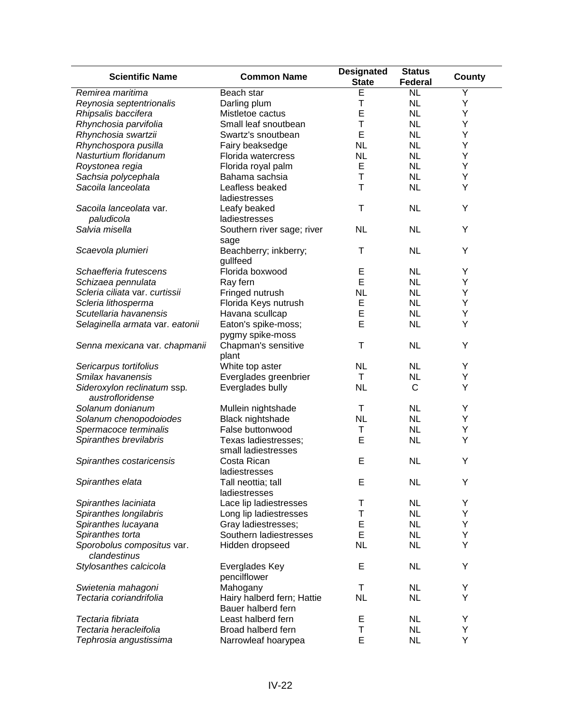| <b>Scientific Name</b>                          | <b>Common Name</b>             | <b>Designated</b><br><b>State</b> | <b>Status</b><br><b>Federal</b> | County |
|-------------------------------------------------|--------------------------------|-----------------------------------|---------------------------------|--------|
| Remirea maritima                                | Beach star                     | E                                 | <b>NL</b>                       | Ÿ      |
| Reynosia septentrionalis                        | Darling plum                   | T                                 | <b>NL</b>                       | Y      |
| Rhipsalis baccifera                             | Mistletoe cactus               | E                                 | <b>NL</b>                       | Υ      |
| Rhynchosia parvifolia                           | Small leaf snoutbean           | Т                                 | <b>NL</b>                       | Υ      |
| Rhynchosia swartzii                             | Swartz's snoutbean             | E                                 | <b>NL</b>                       | Y      |
| Rhynchospora pusilla                            | Fairy beaksedge                | <b>NL</b>                         | <b>NL</b>                       | Y      |
| Nasturtium floridanum                           | Florida watercress             | <b>NL</b>                         | <b>NL</b>                       | Υ      |
| Roystonea regia                                 | Florida royal palm             | Е                                 | <b>NL</b>                       | Υ      |
| Sachsia polycephala                             | Bahama sachsia                 | T                                 | <b>NL</b>                       | Υ      |
| Sacoila lanceolata                              | Leafless beaked                | T                                 | <b>NL</b>                       | Υ      |
|                                                 | ladiestresses                  |                                   |                                 |        |
| Sacoila lanceolata var.                         | Leafy beaked                   | Τ                                 | <b>NL</b>                       | Y      |
| paludicola                                      | ladiestresses                  |                                   |                                 |        |
| Salvia misella                                  | Southern river sage; river     | <b>NL</b>                         | <b>NL</b>                       | Y      |
|                                                 | sage                           |                                   |                                 |        |
| Scaevola plumieri                               | Beachberry; inkberry;          | Τ                                 | <b>NL</b>                       | Υ      |
|                                                 | gullfeed                       |                                   |                                 |        |
| Schaefferia frutescens                          | Florida boxwood                | Е                                 | <b>NL</b>                       | Υ      |
| Schizaea pennulata                              | Ray fern                       | E                                 | <b>NL</b>                       | Υ      |
| Scleria ciliata var. curtissii                  | Fringed nutrush                | <b>NL</b>                         | <b>NL</b>                       | Υ      |
| Scleria lithosperma                             | Florida Keys nutrush           | E                                 | <b>NL</b>                       | Υ      |
| Scutellaria havanensis                          | Havana scullcap                | E                                 | <b>NL</b>                       | Υ      |
|                                                 | Eaton's spike-moss;            | E                                 | <b>NL</b>                       | Υ      |
| Selaginella armata var. eatonii                 |                                |                                   |                                 |        |
|                                                 | pygmy spike-moss               |                                   | <b>NL</b>                       | Υ      |
| Senna mexicana var. chapmanii                   | Chapman's sensitive            | Τ                                 |                                 |        |
|                                                 | plant                          |                                   |                                 |        |
| Sericarpus tortifolius                          | White top aster                | <b>NL</b>                         | NL                              | Y      |
| Smilax havanensis                               | Everglades greenbrier          | T                                 | <b>NL</b>                       | Υ      |
| Sideroxylon reclinatum ssp.<br>austrofloridense | Everglades bully               | <b>NL</b>                         | $\mathsf{C}$                    | Υ      |
| Solanum donianum                                | Mullein nightshade             | $\top$                            | <b>NL</b>                       | Υ      |
| Solanum chenopodoiodes                          | Black nightshade               | <b>NL</b>                         | <b>NL</b>                       | Υ      |
| Spermacoce terminalis                           | False buttonwood               | Τ                                 | <b>NL</b>                       | Υ      |
| Spiranthes brevilabris                          | Texas ladiestresses;           | E                                 | <b>NL</b>                       | Υ      |
|                                                 | small ladiestresses            |                                   |                                 |        |
| Spiranthes costaricensis                        | Costa Rican                    | E                                 | <b>NL</b>                       | Y      |
|                                                 | ladiestresses                  |                                   |                                 |        |
| Spiranthes elata                                | Tall neottia; tall             | Е                                 | <b>NL</b>                       | Y      |
|                                                 | ladiestresses                  |                                   |                                 |        |
| Spiranthes laciniata                            | Lace lip ladiestresses         | T                                 | NL                              | Y      |
| Spiranthes longilabris                          | Long lip ladiestresses         | Т                                 | <b>NL</b>                       | Υ      |
| Spiranthes lucayana                             | Gray ladiestresses;            | E                                 | <b>NL</b>                       | Υ      |
| Spiranthes torta                                | Southern ladiestresses         | E                                 | <b>NL</b>                       | Υ      |
| Sporobolus compositus var.<br>clandestinus      | Hidden dropseed                | <b>NL</b>                         | <b>NL</b>                       | Υ      |
| Stylosanthes calcicola                          | Everglades Key<br>pencilflower | E                                 | <b>NL</b>                       | Υ      |
| Swietenia mahagoni                              | Mahogany                       | Τ                                 | NL                              | Υ      |
| Tectaria coriandrifolia                         | Hairy halberd fern; Hattie     | <b>NL</b>                         | <b>NL</b>                       | Υ      |
|                                                 | Bauer halberd fern             |                                   |                                 |        |
| Tectaria fibriata                               | Least halberd fern             | Е                                 | <b>NL</b>                       | Y      |
| Tectaria heracleifolia                          | Broad halberd fern             | Т                                 | <b>NL</b>                       | Υ      |
| Tephrosia angustissima                          | Narrowleaf hoarypea            | E                                 | <b>NL</b>                       | Υ      |
|                                                 |                                |                                   |                                 |        |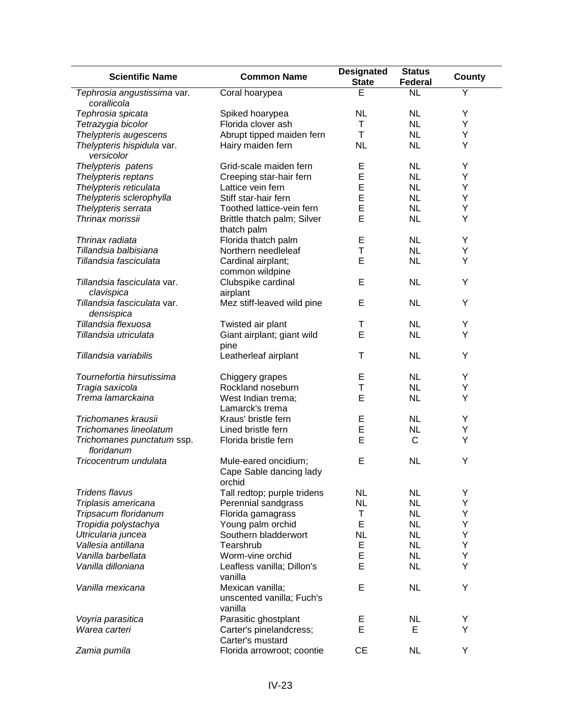| <b>Scientific Name</b>                     | <b>Common Name</b>                                        | <b>Designated</b><br><b>State</b> | <b>Status</b><br>Federal | County |
|--------------------------------------------|-----------------------------------------------------------|-----------------------------------|--------------------------|--------|
| Tephrosia angustissima var.<br>corallicola | Coral hoarypea                                            | E                                 | <b>NL</b>                | Ÿ      |
| Tephrosia spicata                          | Spiked hoarypea                                           | <b>NL</b>                         | <b>NL</b>                | Y      |
| Tetrazygia bicolor                         | Florida clover ash                                        | Τ                                 | <b>NL</b>                | Υ      |
| Thelypteris augescens                      | Abrupt tipped maiden fern                                 | $\mathsf T$                       | <b>NL</b>                | Υ      |
| Thelypteris hispidula var.                 | Hairy maiden fern                                         | <b>NL</b>                         | <b>NL</b>                | Y      |
| versicolor                                 |                                                           |                                   |                          |        |
| Thelypteris patens                         | Grid-scale maiden fern                                    | Е                                 | <b>NL</b>                | Y      |
| Thelypteris reptans                        | Creeping star-hair fern                                   | E                                 | <b>NL</b>                | Υ      |
| Thelypteris reticulata                     | Lattice vein fern                                         | E                                 | <b>NL</b>                | Υ      |
| Thelypteris sclerophylla                   | Stiff star-hair fern                                      | E                                 | <b>NL</b>                | Υ      |
| Thelypteris serrata                        | Toothed lattice-vein fern                                 | E                                 | <b>NL</b>                | Υ      |
| Thrinax morissii                           | Brittle thatch palm; Silver<br>thatch palm                | E                                 | <b>NL</b>                | Υ      |
| Thrinax radiata                            | Florida thatch palm                                       | Е                                 | <b>NL</b>                | Y      |
| Tillandsia balbisiana                      | Northern needleleaf                                       | T                                 | <b>NL</b>                | Υ      |
| Tillandsia fasciculata                     | Cardinal airplant;                                        | E                                 | <b>NL</b>                | Y      |
|                                            | common wildpine                                           |                                   |                          |        |
| Tillandsia fasciculata var.                | Clubspike cardinal<br>airplant                            | E                                 | <b>NL</b>                | Y      |
| clavispica                                 |                                                           |                                   |                          |        |
| Tillandsia fasciculata var.<br>densispica  | Mez stiff-leaved wild pine                                | E                                 | <b>NL</b>                | Y      |
| Tillandsia flexuosa                        | Twisted air plant                                         | Т                                 | <b>NL</b>                | Υ      |
| Tillandsia utriculata                      | Giant airplant; giant wild<br>pine                        | E                                 | <b>NL</b>                | Υ      |
| Tillandsia variabilis                      | Leatherleaf airplant                                      | Τ                                 | <b>NL</b>                | Y      |
| Tournefortia hirsutissima                  | Chiggery grapes                                           | Е                                 | <b>NL</b>                | Υ      |
| Tragia saxicola                            | Rockland noseburn                                         | Τ                                 | <b>NL</b>                | Υ      |
| Trema lamarckaina                          | West Indian trema;                                        | E                                 | <b>NL</b>                | Υ      |
|                                            | Lamarck's trema                                           |                                   |                          |        |
| Trichomanes krausii                        | Kraus' bristle fern                                       | Ε                                 | <b>NL</b>                | Y      |
| Trichomanes lineolatum                     | Lined bristle fern                                        | E                                 | <b>NL</b>                | Υ      |
| Trichomanes punctatum ssp.<br>floridanum   | Florida bristle fern                                      | E                                 | C                        | Υ      |
| Tricocentrum undulata                      | Mule-eared oncidium;<br>Cape Sable dancing lady<br>orchid | E                                 | <b>NL</b>                | Υ      |
| Tridens flavus                             | Tall redtop; purple tridens                               | <b>NL</b>                         | <b>NL</b>                | Υ      |
| Triplasis americana                        | Perennial sandgrass                                       | <b>NL</b>                         | <b>NL</b>                | Υ      |
| Tripsacum floridanum                       | Florida gamagrass                                         | Τ                                 | <b>NL</b>                | Υ      |
| Tropidia polystachya                       | Young palm orchid                                         | E                                 | <b>NL</b>                | Υ      |
| Utricularia juncea                         | Southern bladderwort                                      | <b>NL</b>                         | <b>NL</b>                | Υ      |
| Vallesia antillana                         | Tearshrub                                                 | E                                 | <b>NL</b>                | Υ      |
| Vanilla barbellata                         |                                                           | E                                 | <b>NL</b>                | Υ      |
| Vanilla dilloniana                         | Worm-vine orchid                                          | E                                 |                          | Υ      |
|                                            | Leafless vanilla; Dillon's<br>vanilla                     |                                   | <b>NL</b>                |        |
| Vanilla mexicana                           | Mexican vanilla;<br>unscented vanilla; Fuch's<br>vanilla  | E                                 | <b>NL</b>                | Υ      |
| Voyria parasitica                          | Parasitic ghostplant                                      |                                   | <b>NL</b>                | Υ      |
| Warea carteri                              | Carter's pinelandcress;<br>Carter's mustard               | E<br>E                            | Е                        | Υ      |
| Zamia pumila                               | Florida arrowroot; coontie                                | <b>CE</b>                         | <b>NL</b>                | Υ      |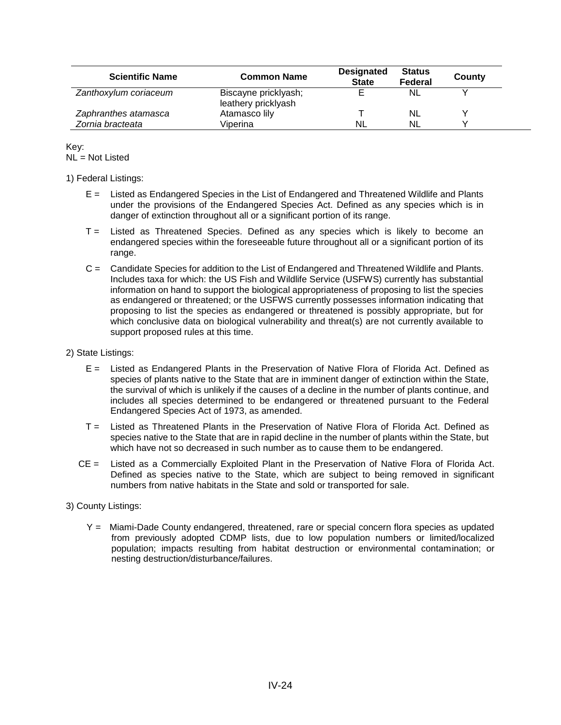| <b>Scientific Name</b> | <b>Common Name</b>                          | <b>Designated</b><br><b>State</b> | <b>Status</b><br>Federal | County |
|------------------------|---------------------------------------------|-----------------------------------|--------------------------|--------|
| Zanthoxylum coriaceum  | Biscayne pricklyash;<br>leathery pricklyash |                                   | <b>NL</b>                |        |
| Zaphranthes atamasca   | Atamasco lily                               |                                   | <b>NL</b>                |        |
| Zornia bracteata       | Viperina                                    | <b>NL</b>                         | <b>NL</b>                |        |

Key: NL = Not Listed

#### 1) Federal Listings:

- E = Listed as Endangered Species in the List of Endangered and Threatened Wildlife and Plants under the provisions of the Endangered Species Act. Defined as any species which is in danger of extinction throughout all or a significant portion of its range.
- T = Listed as Threatened Species. Defined as any species which is likely to become an endangered species within the foreseeable future throughout all or a significant portion of its range.
- C = Candidate Species for addition to the List of Endangered and Threatened Wildlife and Plants. Includes taxa for which: the US Fish and Wildlife Service (USFWS) currently has substantial information on hand to support the biological appropriateness of proposing to list the species as endangered or threatened; or the USFWS currently possesses information indicating that proposing to list the species as endangered or threatened is possibly appropriate, but for which conclusive data on biological vulnerability and threat(s) are not currently available to support proposed rules at this time.

#### 2) State Listings:

- E = Listed as Endangered Plants in the Preservation of Native Flora of Florida Act. Defined as species of plants native to the State that are in imminent danger of extinction within the State, the survival of which is unlikely if the causes of a decline in the number of plants continue, and includes all species determined to be endangered or threatened pursuant to the Federal Endangered Species Act of 1973, as amended.
- T = Listed as Threatened Plants in the Preservation of Native Flora of Florida Act. Defined as species native to the State that are in rapid decline in the number of plants within the State, but which have not so decreased in such number as to cause them to be endangered.
- CE = Listed as a Commercially Exploited Plant in the Preservation of Native Flora of Florida Act. Defined as species native to the State, which are subject to being removed in significant numbers from native habitats in the State and sold or transported for sale.
- 3) County Listings:
	- Y = Miami-Dade County endangered, threatened, rare or special concern flora species as updated from previously adopted CDMP lists, due to low population numbers or limited/localized population; impacts resulting from habitat destruction or environmental contamination; or nesting destruction/disturbance/failures.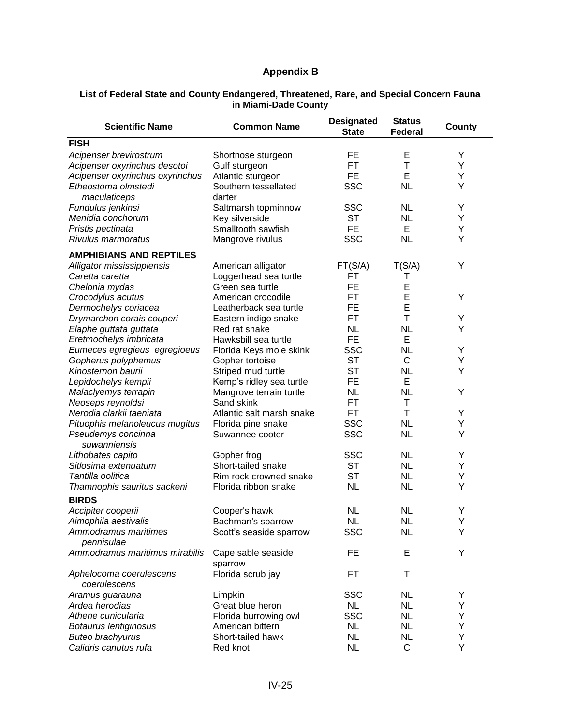## **Appendix B**

#### **List of Federal State and County Endangered, Threatened, Rare, and Special Concern Fauna in Miami-Dade County**

| <b>Scientific Name</b>                           | <b>Common Name</b>                        | <b>Designated</b><br><b>State</b> | <b>Status</b><br>Federal | County |
|--------------------------------------------------|-------------------------------------------|-----------------------------------|--------------------------|--------|
| <b>FISH</b>                                      |                                           |                                   |                          |        |
| Acipenser brevirostrum                           | Shortnose sturgeon                        | FE                                | E                        | Y      |
| Acipenser oxyrinchus desotoi                     | Gulf sturgeon                             | FT                                | T                        | Υ      |
| Acipenser oxyrinchus oxyrinchus                  | Atlantic sturgeon                         | <b>FE</b>                         | E                        | Υ      |
| Etheostoma olmstedi                              | Southern tessellated                      | <b>SSC</b>                        | <b>NL</b>                | Υ      |
| maculaticeps                                     | darter                                    |                                   |                          |        |
| Fundulus jenkinsi                                | Saltmarsh topminnow                       | <b>SSC</b>                        | <b>NL</b>                | Y      |
| Menidia conchorum                                | Key silverside                            | <b>ST</b>                         | <b>NL</b>                | Y      |
| Pristis pectinata                                | Smalltooth sawfish                        | FE                                | Е                        | Y      |
| Rivulus marmoratus                               | Mangrove rivulus                          | <b>SSC</b>                        | <b>NL</b>                | Y      |
| <b>AMPHIBIANS AND REPTILES</b>                   |                                           |                                   |                          |        |
| Alligator mississippiensis                       |                                           | FT(S/A)                           | T(S/A)                   | Υ      |
| Caretta caretta                                  | American alligator                        | FТ                                |                          |        |
| Chelonia mydas                                   | Loggerhead sea turtle<br>Green sea turtle | <b>FE</b>                         | Τ<br>E                   |        |
| Crocodylus acutus                                | American crocodile                        | FT                                | E                        | Y      |
| Dermochelys coriacea                             | Leatherback sea turtle                    | FE                                | E                        |        |
| Drymarchon corais couperi                        |                                           | <b>FT</b>                         | T                        | Υ      |
| Elaphe guttata guttata                           | Eastern indigo snake<br>Red rat snake     | <b>NL</b>                         | <b>NL</b>                | Υ      |
| Eretmochelys imbricata                           | Hawksbill sea turtle                      | <b>FE</b>                         | E                        |        |
| Eumeces egregieus egregioeus                     |                                           | <b>SSC</b>                        | <b>NL</b>                | Y      |
|                                                  | Florida Keys mole skink                   | <b>ST</b>                         | $\mathsf{C}$             |        |
| Gopherus polyphemus<br>Kinosternon baurii        | Gopher tortoise                           | <b>ST</b>                         | NL                       | Y<br>Y |
|                                                  | Striped mud turtle                        | FE                                | E                        |        |
| Lepidochelys kempii                              | Kemp's ridley sea turtle                  |                                   | <b>NL</b>                |        |
| Malaclyemys terrapin                             | Mangrove terrain turtle<br>Sand skink     | <b>NL</b><br><b>FT</b>            | Τ                        | Y      |
| Neoseps reynoldsi                                |                                           | <b>FT</b>                         | T                        | Υ      |
| Nerodia clarkii taeniata                         | Atlantic salt marsh snake                 |                                   |                          | Υ      |
| Pituophis melanoleucus mugitus                   | Florida pine snake                        | <b>SSC</b><br><b>SSC</b>          | <b>NL</b><br><b>NL</b>   | Y      |
| Pseudemys concinna<br>suwanniensis               | Suwannee cooter                           |                                   |                          |        |
| Lithobates capito                                | Gopher frog                               | <b>SSC</b>                        | <b>NL</b>                | Υ      |
| Sitlosima extenuatum                             | Short-tailed snake                        | <b>ST</b>                         | <b>NL</b>                | Υ      |
| Tantilla oolitica                                | Rim rock crowned snake                    | <b>ST</b>                         | <b>NL</b>                | Υ      |
| Thamnophis sauritus sackeni                      | Florida ribbon snake                      | <b>NL</b>                         | <b>NL</b>                | Y      |
| <b>BIRDS</b>                                     |                                           |                                   |                          |        |
| Accipiter cooperii                               | Cooper's hawk                             | <b>NL</b>                         | <b>NL</b>                | Υ      |
| Aimophila aestivalis                             | Bachman's sparrow                         | <b>NL</b>                         | <b>NL</b>                | Υ      |
| Ammodramus maritimes<br>pennisulae               | Scott's seaside sparrow                   | <b>SSC</b>                        | <b>NL</b>                | Υ      |
| Ammodramus maritimus mirabilis                   | Cape sable seaside<br>sparrow             | FE                                | Е                        | Y      |
| Aphelocoma coerulescens                          | Florida scrub jay                         | FT                                | т                        |        |
| coerulescens<br>Aramus guarauna                  | Limpkin                                   | <b>SSC</b>                        | <b>NL</b>                | Υ      |
| Ardea herodias                                   | Great blue heron                          | <b>NL</b>                         | <b>NL</b>                | Υ      |
| Athene cunicularia                               | Florida burrowing owl                     | <b>SSC</b>                        | <b>NL</b>                | Υ      |
|                                                  |                                           | <b>NL</b>                         | <b>NL</b>                | Υ      |
| Botaurus lentiginosus<br><b>Buteo brachyurus</b> | American bittern<br>Short-tailed hawk     | <b>NL</b>                         | <b>NL</b>                | Υ      |
| Calidris canutus rufa                            | Red knot                                  | <b>NL</b>                         | $\mathsf{C}$             | Υ      |
|                                                  |                                           |                                   |                          |        |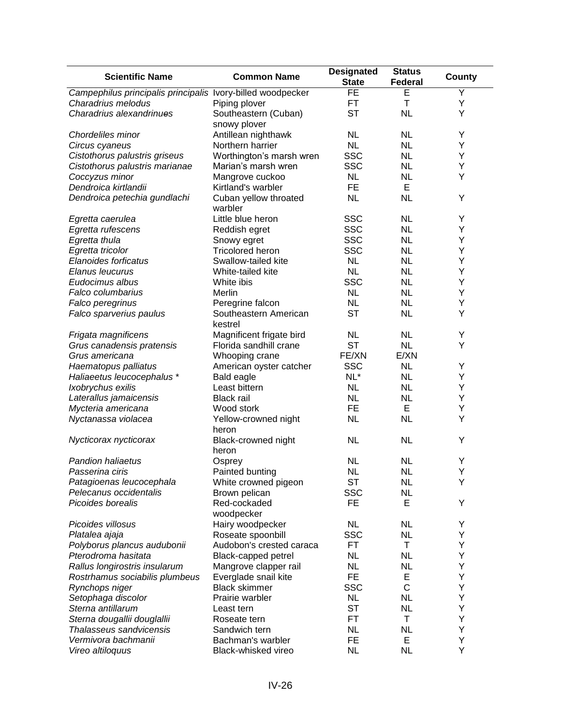| <b>Scientific Name</b>                                      | <b>Common Name</b>            | <b>Designated</b><br><b>State</b> | <b>Status</b><br><b>Federal</b> | County |
|-------------------------------------------------------------|-------------------------------|-----------------------------------|---------------------------------|--------|
| Campephilus principalis principalis Ivory-billed woodpecker |                               | $\overline{FE}$                   | E                               | Y      |
| Charadrius melodus                                          | Piping plover                 | <b>FT</b>                         | T                               | Υ      |
| Charadrius alexandrinues                                    | Southeastern (Cuban)          | <b>ST</b>                         | <b>NL</b>                       | Υ      |
|                                                             | snowy plover                  |                                   |                                 |        |
| Chordeliles minor                                           | Antillean nighthawk           | <b>NL</b>                         | <b>NL</b>                       | Y      |
| Circus cyaneus                                              | Northern harrier              | <b>NL</b>                         | <b>NL</b>                       | Y      |
| Cistothorus palustris griseus                               | Worthington's marsh wren      | <b>SSC</b>                        | <b>NL</b>                       | Υ      |
| Cistothorus palustris marianae                              | Marian's marsh wren           | <b>SSC</b>                        | <b>NL</b>                       | Υ      |
| Coccyzus minor                                              | Mangrove cuckoo               | <b>NL</b>                         | <b>NL</b>                       | Υ      |
| Dendroica kirtlandii                                        | Kirtland's warbler            | <b>FE</b>                         | E                               |        |
| Dendroica petechia gundlachi                                | Cuban yellow throated         | <b>NL</b>                         | <b>NL</b>                       | Υ      |
|                                                             | warbler                       |                                   |                                 |        |
| Egretta caerulea                                            | Little blue heron             | <b>SSC</b>                        | <b>NL</b>                       | Υ      |
| Egretta rufescens                                           | Reddish egret                 | <b>SSC</b>                        | <b>NL</b>                       | Υ      |
| Egretta thula                                               | Snowy egret                   | <b>SSC</b>                        | <b>NL</b>                       | Υ      |
| Egretta tricolor                                            | <b>Tricolored heron</b>       | <b>SSC</b>                        | <b>NL</b>                       | Y      |
| Elanoides forficatus                                        | Swallow-tailed kite           | <b>NL</b>                         | <b>NL</b>                       | Y      |
| Elanus leucurus                                             | White-tailed kite             | <b>NL</b>                         | <b>NL</b>                       | Y      |
| Eudocimus albus                                             | White ibis                    | <b>SSC</b>                        | <b>NL</b>                       | Υ      |
| Falco columbarius                                           | Merlin                        | <b>NL</b>                         | <b>NL</b>                       | Υ      |
| Falco peregrinus                                            | Peregrine falcon              | <b>NL</b>                         | <b>NL</b>                       | Υ      |
| Falco sparverius paulus                                     | Southeastern American         | <b>ST</b>                         | <b>NL</b>                       | Y      |
|                                                             | kestrel                       |                                   |                                 |        |
| Frigata magnificens                                         | Magnificent frigate bird      | <b>NL</b>                         | <b>NL</b>                       | Υ      |
| Grus canadensis pratensis                                   | Florida sandhill crane        | <b>ST</b>                         | <b>NL</b>                       | Υ      |
| Grus americana                                              | Whooping crane                | FE/XN                             | E/XN                            |        |
| Haematopus palliatus                                        | American oyster catcher       | <b>SSC</b>                        | <b>NL</b>                       | Υ      |
| Haliaeetus leucocephalus*                                   | <b>Bald eagle</b>             | $NL^*$                            | <b>NL</b>                       | Y      |
|                                                             | Least bittern                 | <b>NL</b>                         | <b>NL</b>                       | Y      |
| Ixobrychus exilis                                           |                               |                                   |                                 |        |
| Laterallus jamaicensis                                      | <b>Black rail</b>             | <b>NL</b>                         | <b>NL</b>                       | Y      |
| Mycteria americana                                          | Wood stork                    | <b>FE</b>                         | E                               | Υ      |
| Nyctanassa violacea                                         | Yellow-crowned night<br>heron | <b>NL</b>                         | <b>NL</b>                       | Y      |
| Nycticorax nycticorax                                       | Black-crowned night           | <b>NL</b>                         | <b>NL</b>                       | Υ      |
|                                                             | heron                         |                                   |                                 |        |
| Pandion haliaetus                                           | Osprey                        | <b>NL</b>                         | <b>NL</b>                       | Υ      |
| Passerina ciris                                             | Painted bunting               | NL                                | <b>NL</b>                       | Υ      |
| Patagioenas leucocephala                                    | White crowned pigeon          | ST                                | <b>NL</b>                       | Y      |
| Pelecanus occidentalis                                      | Brown pelican                 | <b>SSC</b>                        | <b>NL</b>                       |        |
| Picoides borealis                                           | Red-cockaded                  | FE                                | Е                               | Υ      |
|                                                             | woodpecker                    |                                   |                                 |        |
| Picoides villosus                                           | Hairy woodpecker              | <b>NL</b>                         | <b>NL</b>                       | Y      |
| Platalea ajaja                                              | Roseate spoonbill             | <b>SSC</b>                        | <b>NL</b>                       | Υ      |
| Polyborus plancus audubonii                                 | Audobon's crested caraca      | FT                                | Τ                               | Υ      |
| Pterodroma hasitata                                         | Black-capped petrel           | <b>NL</b>                         | <b>NL</b>                       | Υ      |
| Rallus longirostris insularum                               | Mangrove clapper rail         | <b>NL</b>                         | <b>NL</b>                       | Υ      |
| Rostrhamus sociabilis plumbeus                              | Everglade snail kite          | FE                                | E                               | Υ      |
| Rynchops niger                                              | <b>Black skimmer</b>          | <b>SSC</b>                        | $\mathsf{C}$                    | Υ      |
| Setophaga discolor                                          | Prairie warbler               | <b>NL</b>                         | <b>NL</b>                       | Υ      |
| Sterna antillarum                                           | Least tern                    | <b>ST</b>                         | <b>NL</b>                       | Υ      |
| Sterna dougallii douglallii                                 | Roseate tern                  | <b>FT</b>                         | T                               | Υ      |
| Thalasseus sandvicensis                                     | Sandwich tern                 | <b>NL</b>                         | <b>NL</b>                       | Y      |
| Vermivora bachmanii                                         | Bachman's warbler             | <b>FE</b>                         | Е                               | Y      |
| Vireo altiloquus                                            | Black-whisked vireo           | <b>NL</b>                         | <b>NL</b>                       | Υ      |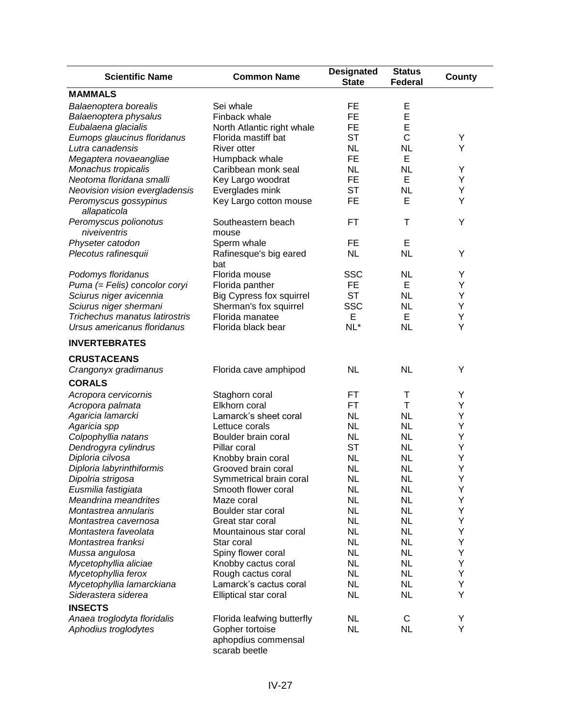| <b>Scientific Name</b>                           | <b>Common Name</b>                              | <b>Designated</b><br><b>State</b> | <b>Status</b><br><b>Federal</b> | County |
|--------------------------------------------------|-------------------------------------------------|-----------------------------------|---------------------------------|--------|
| <b>MAMMALS</b>                                   |                                                 |                                   |                                 |        |
| Balaenoptera borealis                            | Sei whale                                       | FE                                | E                               |        |
| Balaenoptera physalus                            | Finback whale                                   | <b>FE</b>                         | E                               |        |
| Eubalaena glacialis                              | North Atlantic right whale                      | FE                                | E                               |        |
| Eumops glaucinus floridanus                      | Florida mastiff bat                             | <b>ST</b>                         | C                               | Υ      |
| Lutra canadensis                                 | River otter                                     | <b>NL</b>                         | <b>NL</b>                       | Υ      |
| Megaptera novaeangliae                           | Humpback whale                                  | FE                                | Е                               |        |
| Monachus tropicalis                              | Caribbean monk seal                             | <b>NL</b>                         | <b>NL</b>                       | Y      |
| Neotoma floridana smalli                         | Key Largo woodrat                               | FE                                | Е                               | Υ      |
| Neovision vision evergladensis                   | Everglades mink                                 | <b>ST</b>                         | <b>NL</b>                       | Υ      |
| Peromyscus gossypinus<br>allapaticola            | Key Largo cotton mouse                          | FE                                | E                               | Y      |
| Peromyscus polionotus                            | Southeastern beach                              | FT                                | т                               | Υ      |
| niveiventris                                     | mouse                                           |                                   |                                 |        |
| Physeter catodon                                 | Sperm whale                                     | FE                                | E                               |        |
| Plecotus rafinesquii                             | Rafinesque's big eared<br>bat                   | <b>NL</b>                         | <b>NL</b>                       | Υ      |
| Podomys floridanus                               | Florida mouse                                   | <b>SSC</b>                        | <b>NL</b>                       | Y      |
| Puma (= Felis) concolor coryi                    | Florida panther                                 | <b>FE</b>                         | E                               | Y      |
| Sciurus niger avicennia                          | <b>Big Cypress fox squirrel</b>                 | <b>ST</b>                         | <b>NL</b>                       | Y      |
| Sciurus niger shermani                           | Sherman's fox squirrel                          | <b>SSC</b>                        | <b>NL</b>                       | Υ      |
| Trichechus manatus latirostris                   | Florida manatee                                 | Е                                 | Е                               | Υ      |
| Ursus americanus floridanus                      | Florida black bear                              | NL*                               | <b>NL</b>                       | Υ      |
| <b>INVERTEBRATES</b>                             |                                                 |                                   |                                 |        |
| <b>CRUSTACEANS</b>                               |                                                 |                                   |                                 |        |
| Crangonyx gradimanus                             | Florida cave amphipod                           | <b>NL</b>                         | <b>NL</b>                       | Υ      |
| <b>CORALS</b>                                    |                                                 |                                   |                                 |        |
|                                                  |                                                 |                                   |                                 |        |
| Acropora cervicornis                             | Staghorn coral                                  | FT<br>FT                          | Τ<br>Т                          | Y      |
| Acropora palmata                                 | Elkhorn coral                                   |                                   |                                 | Y      |
| Agaricia lamarcki                                | Lamarck's sheet coral                           | <b>NL</b>                         | NL                              | Υ      |
| Agaricia spp                                     | Lettuce corals                                  | <b>NL</b>                         | <b>NL</b>                       | Υ      |
| Colpophyllia natans                              | Boulder brain coral                             | <b>NL</b>                         | <b>NL</b>                       | Υ      |
| Dendrogyra cylindrus                             | Pillar coral                                    | <b>ST</b>                         | <b>NL</b>                       | Υ      |
| Diploria cilvosa                                 | Knobby brain coral                              | <b>NL</b>                         | <b>NL</b>                       | Υ      |
| Diploria labyrinthiformis                        | Grooved brain coral                             | <b>NL</b>                         | <b>NL</b>                       | Υ      |
| Dipolria strigosa                                | Symmetrical brain coral                         | <b>NL</b>                         | <b>NL</b>                       | Υ      |
| Eusmilia fastigiata                              | Smooth flower coral                             | <b>NL</b>                         | <b>NL</b>                       | Υ      |
| Meandrina meandrites                             | Maze coral                                      | NL                                | <b>NL</b>                       | Υ      |
| Montastrea annularis                             | Boulder star coral                              | <b>NL</b>                         | <b>NL</b>                       | Υ      |
| Montastrea cavernosa                             | Great star coral                                | <b>NL</b>                         | <b>NL</b>                       | Y      |
| Montastera faveolata                             | Mountainous star coral                          | NL                                | <b>NL</b>                       | Y      |
| Montastrea franksi                               | Star coral                                      | <b>NL</b>                         | <b>NL</b>                       | Y      |
| Mussa angulosa                                   | Spiny flower coral                              | <b>NL</b>                         | <b>NL</b>                       | Υ      |
| Mycetophyllia aliciae                            | Knobby cactus coral                             | <b>NL</b>                         | <b>NL</b>                       | Υ      |
| Mycetophyllia ferox                              | Rough cactus coral                              | <b>NL</b>                         | <b>NL</b>                       | Υ      |
| Mycetophyllia lamarckiana<br>Siderastera siderea | Lamarck's cactus coral<br>Elliptical star coral | <b>NL</b><br><b>NL</b>            | <b>NL</b><br><b>NL</b>          | Υ<br>Υ |
| <b>INSECTS</b>                                   |                                                 |                                   |                                 |        |
| Anaea troglodyta floridalis                      | Florida leafwing butterfly                      | <b>NL</b>                         | C                               | Υ      |
| Aphodius troglodytes                             | Gopher tortoise                                 | <b>NL</b>                         | <b>NL</b>                       | Υ      |
|                                                  | aphopdius commensal<br>scarab beetle            |                                   |                                 |        |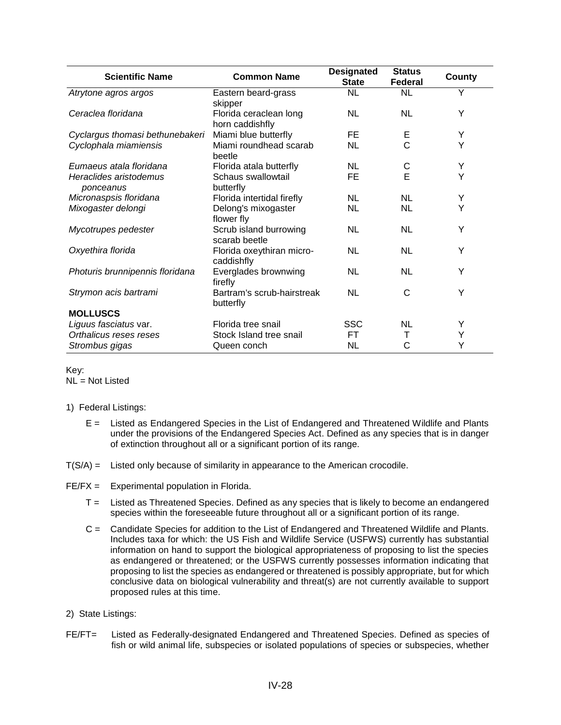| <b>Scientific Name</b>              | <b>Common Name</b>                        | <b>Designated</b><br><b>State</b> | <b>Status</b><br>Federal | County |
|-------------------------------------|-------------------------------------------|-----------------------------------|--------------------------|--------|
| Atrytone agros argos                | Eastern beard-grass<br>skipper            | <b>NL</b>                         | <b>NL</b>                | Υ      |
| Ceraclea floridana                  | Florida ceraclean long<br>horn caddishfly | <b>NL</b>                         | <b>NL</b>                | Y      |
| Cyclargus thomasi bethunebakeri     | Miami blue butterfly                      | FE.                               | Е                        | Y      |
| Cyclophala miamiensis               | Miami roundhead scarab<br>beetle          | <b>NL</b>                         | Ċ                        | Y      |
| Eumaeus atala floridana             | Florida atala butterfly                   | <b>NL</b>                         | С                        | Υ      |
| Heraclides aristodemus<br>ponceanus | Schaus swallowtail<br>butterfly           | FE                                | E                        | Y      |
| Micronaspsis floridana              | Florida intertidal firefly                | <b>NL</b>                         | <b>NL</b>                | Y      |
| Mixogaster delongi                  | Delong's mixogaster<br>flower fly         | <b>NL</b>                         | <b>NL</b>                | Y      |
| Mycotrupes pedester                 | Scrub island burrowing<br>scarab beetle   | <b>NL</b>                         | <b>NL</b>                | Y      |
| Oxyethira florida                   | Florida oxeythiran micro-<br>caddishfly   | <b>NL</b>                         | <b>NL</b>                | Y      |
| Photuris brunnipennis floridana     | Everglades brownwing<br>firefly           | <b>NL</b>                         | <b>NL</b>                | Y      |
| Strymon acis bartrami               | Bartram's scrub-hairstreak<br>butterfly   | NL                                | C                        | Y      |
| <b>MOLLUSCS</b>                     |                                           |                                   |                          |        |
| Liguus fasciatus var.               | Florida tree snail                        | <b>SSC</b>                        | <b>NL</b>                | Y      |
| Orthalicus reses reses              | Stock Island tree snail                   | <b>FT</b>                         | т                        | Υ      |
| Strombus gigas                      | Queen conch                               | <b>NL</b>                         | С                        | Υ      |

Key: NL = Not Listed

- 1) Federal Listings:
	- E = Listed as Endangered Species in the List of Endangered and Threatened Wildlife and Plants under the provisions of the Endangered Species Act. Defined as any species that is in danger of extinction throughout all or a significant portion of its range.
- T(S/A) = Listed only because of similarity in appearance to the American crocodile.
- FE/FX = Experimental population in Florida.
	- T = Listed as Threatened Species. Defined as any species that is likely to become an endangered species within the foreseeable future throughout all or a significant portion of its range.
	- C = Candidate Species for addition to the List of Endangered and Threatened Wildlife and Plants. Includes taxa for which: the US Fish and Wildlife Service (USFWS) currently has substantial information on hand to support the biological appropriateness of proposing to list the species as endangered or threatened; or the USFWS currently possesses information indicating that proposing to list the species as endangered or threatened is possibly appropriate, but for which conclusive data on biological vulnerability and threat(s) are not currently available to support proposed rules at this time.
- 2) State Listings:
- FE/FT= Listed as Federally-designated Endangered and Threatened Species. Defined as species of fish or wild animal life, subspecies or isolated populations of species or subspecies, whether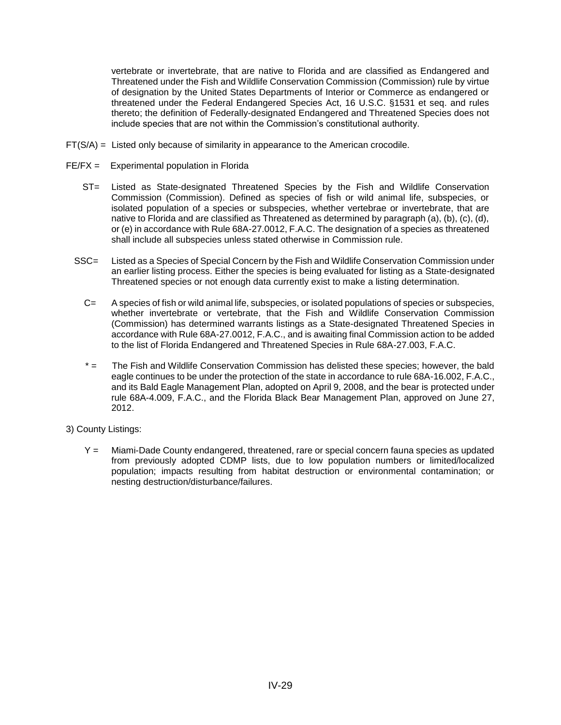vertebrate or invertebrate, that are native to Florida and are classified as Endangered and Threatened under the Fish and Wildlife Conservation Commission (Commission) rule by virtue of designation by the United States Departments of Interior or Commerce as endangered or threatened under the Federal Endangered Species Act, 16 U.S.C. §1531 et seq. and rules thereto; the definition of Federally-designated Endangered and Threatened Species does not include species that are not within the Commission's constitutional authority.

- FT(S/A) = Listed only because of similarity in appearance to the American crocodile.
- FE/FX = Experimental population in Florida
	- ST= Listed as State-designated Threatened Species by the Fish and Wildlife Conservation Commission (Commission). Defined as species of fish or wild animal life, subspecies, or isolated population of a species or subspecies, whether vertebrae or invertebrate, that are native to Florida and are classified as Threatened as determined by paragraph (a), (b), (c), (d), or (e) in accordance with Rule 68A-27.0012, F.A.C. The designation of a species as threatened shall include all subspecies unless stated otherwise in Commission rule.
	- SSC= Listed as a Species of Special Concern by the Fish and Wildlife Conservation Commission under an earlier listing process. Either the species is being evaluated for listing as a State-designated Threatened species or not enough data currently exist to make a listing determination.
		- C= A species of fish or wild animal life, subspecies, or isolated populations of species or subspecies, whether invertebrate or vertebrate, that the Fish and Wildlife Conservation Commission (Commission) has determined warrants listings as a State-designated Threatened Species in accordance with Rule 68A-27.0012, F.A.C., and is awaiting final Commission action to be added to the list of Florida Endangered and Threatened Species in Rule 68A-27.003, F.A.C.
		- \* = The Fish and Wildlife Conservation Commission has delisted these species; however, the bald eagle continues to be under the protection of the state in accordance to rule 68A-16.002, F.A.C., and its Bald Eagle Management Plan, adopted on April 9, 2008, and the bear is protected under rule 68A-4.009, F.A.C., and the Florida Black Bear Management Plan, approved on June 27, 2012.
- 3) County Listings:
	- Y = Miami-Dade County endangered, threatened, rare or special concern fauna species as updated from previously adopted CDMP lists, due to low population numbers or limited/localized population; impacts resulting from habitat destruction or environmental contamination; or nesting destruction/disturbance/failures.